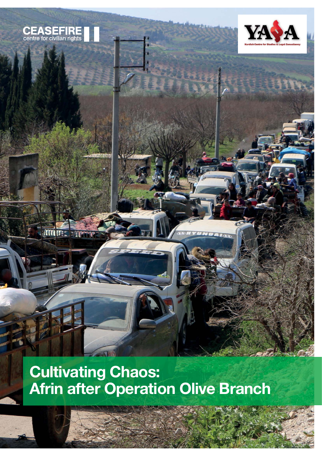

an



ALC.

## **Cultivating Chaos: Afrin after Operation Olive Branch**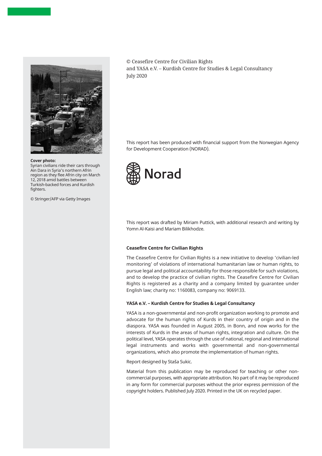

**Cover photo:** Syrian civilians ride their cars through

Ain Dara in Syria's northern Afrin region as they flee Afrin city on March 12, 2018 amid battles between Turkish-backed forces and Kurdish fighters.

© Stringer/AFP via Getty Images

© Ceasefire Centre for Civilian Rights and YASA e.V. – Kurdish Centre for Studies & Legal Consultancy July 2020

This report has been produced with financial support from the Norwegian Agency for Development Cooperation (NORAD).



This report was drafted by Miriam Puttick, with additional research and writing by Yomn Al-Kaisi and Mariam Bilikhodze.

#### **Ceasefire Centre for Civilian Rights**

The Ceasefire Centre for Civilian Rights is a new initiative to develop 'civilian-led monitoring' of violations of international humanitarian law or human rights, to pursue legal and political accountability for those responsible for such violations, and to develop the practice of civilian rights. The Ceasefire Centre for Civilian Rights is registered as a charity and a company limited by guarantee under English law; charity no: 1160083, company no: 9069133.

#### **YASA e.V. – Kurdish Centre for Studies & Legal Consultancy**

YASA is a non-governmental and non-profit organization working to promote and advocate for the human rights of Kurds in their country of origin and in the diaspora. YASA was founded in August 2005, in Bonn, and now works for the interests of Kurds in the areas of human rights, integration and culture. On the political level, YASA operates through the use of national, regional and international legal instruments and works with governmental and non-governmental organizations, which also promote the implementation of human rights.

Report designed by Staša Sukic.

Material from this publication may be reproduced for teaching or other noncommercial purposes, with appropriate attribution. No part of it may be reproduced in any form for commercial purposes without the prior express permission of the copyright holders. Published July 2020. Printed in the UK on recycled paper.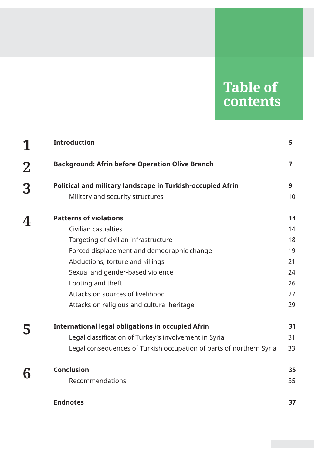## **Table of contents**

|             | <b>Introduction</b>                                                 | 5  |
|-------------|---------------------------------------------------------------------|----|
| $\mathbf 2$ | <b>Background: Afrin before Operation Olive Branch</b>              | 7  |
|             | Political and military landscape in Turkish-occupied Afrin          | 9  |
|             | Military and security structures                                    | 10 |
|             | <b>Patterns of violations</b>                                       | 14 |
|             | Civilian casualties                                                 | 14 |
|             | Targeting of civilian infrastructure                                | 18 |
|             | Forced displacement and demographic change                          | 19 |
|             | Abductions, torture and killings                                    | 21 |
|             | Sexual and gender-based violence                                    | 24 |
|             | Looting and theft                                                   | 26 |
|             | Attacks on sources of livelihood                                    | 27 |
|             | Attacks on religious and cultural heritage                          | 29 |
|             | <b>International legal obligations in occupied Afrin</b>            | 31 |
|             | Legal classification of Turkey's involvement in Syria               | 31 |
|             | Legal consequences of Turkish occupation of parts of northern Syria | 33 |
|             | <b>Conclusion</b>                                                   | 35 |
|             | Recommendations                                                     | 35 |
|             | <b>Endnotes</b>                                                     | 37 |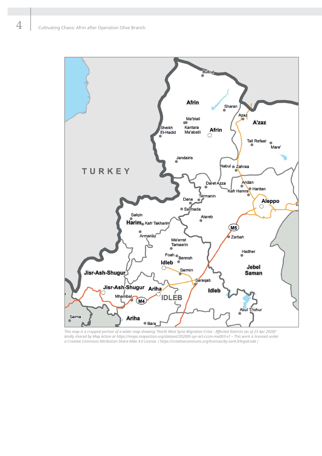

*This map is a cropped portion of a wider map showing "North West Syria Migration Crisis - Affected Districts (as of 23 Apr 2020)" kindly shared by Map Action at https://maps.mapaction.org/dataset/202005-syr-act-cccm-ma003-v1 – This work is licensed under a Creative Commons Attribution Share-Alike 4.0 License. ( https://creativecommons.org/licenses/by-sa/4.0/legalcode )*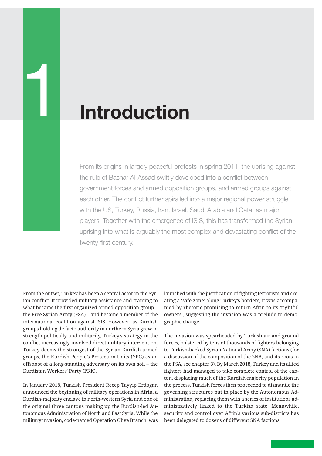## **Introduction**

From its origins in largely peaceful protests in spring 2011, the uprising against the rule of Bashar Al-Assad swiftly developed into a conflict between government forces and armed opposition groups, and armed groups against each other. The conflict further spiralled into a major regional power struggle with the US, Turkey, Russia, Iran, Israel, Saudi Arabia and Qatar as major players. Together with the emergence of ISIS, this has transformed the Syrian uprising into what is arguably the most complex and devastating conflict of the twenty-first century.

From the outset, Turkey has been a central actor in the Syrian conflict. It provided military assistance and training to what became the first organized armed opposition group – the Free Syrian Army (FSA) – and became a member of the international coalition against ISIS. However, as Kurdish groups holding de facto authority in northern Syria grew in strength politically and militarily, Turkey's strategy in the conflict increasingly involved direct military intervention. Turkey deems the strongest of the Syrian Kurdish armed groups, the Kurdish People's Protection Units (YPG) as an offshoot of a long-standing adversary on its own soil – the Kurdistan Workers' Party (PKK).

In January 2018, Turkish President Recep Tayyip Erdogan announced the beginning of military operations in Afrin, a Kurdish-majority enclave in north-western Syria and one of the original three cantons making up the Kurdish-led Autonomous Administration of North and East Syria. While the military invasion, code-named Operation Olive Branch, was launched with the justification of fighting terrorism and creating a 'safe zone' along Turkey's borders, it was accompanied by rhetoric promising to return Afrin to its 'rightful owners', suggesting the invasion was a prelude to demographic change.

The invasion was spearheaded by Turkish air and ground forces, bolstered by tens of thousands of fighters belonging to Turkish-backed Syrian National Army (SNA) factions (for a discussion of the composition of the SNA, and its roots in the FSA, see chapter 3). By March 2018, Turkey and its allied fighters had managed to take complete control of the canton, displacing much of the Kurdish-majority population in the process. Turkish forces then proceeded to dismantle the governing structures put in place by the Autonomous Administration, replacing them with a series of institutions administratively linked to the Turkish state. Meanwhile, security and control over Afrin's various sub-districts has been delegated to dozens of different SNA factions.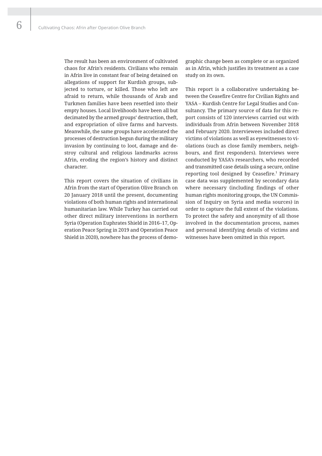The result has been an environment of cultivated chaos for Afrin's residents. Civilians who remain in Afrin live in constant fear of being detained on allegations of support for Kurdish groups, subjected to torture, or killed. Those who left are afraid to return, while thousands of Arab and Turkmen families have been resettled into their empty houses. Local livelihoods have been all but decimated by the armed groups' destruction, theft, and expropriation of olive farms and harvests. Meanwhile, the same groups have accelerated the processes of destruction begun during the military invasion by continuing to loot, damage and destroy cultural and religious landmarks across Afrin, eroding the region's history and distinct character.

This report covers the situation of civilians in Afrin from the start of Operation Olive Branch on 20 January 2018 until the present, documenting violations of both human rights and international humanitarian law. While Turkey has carried out other direct military interventions in northern Syria (Operation Euphrates Shield in 2016–17, Operation Peace Spring in 2019 and Operation Peace Shield in 2020), nowhere has the process of demographic change been as complete or as organized as in Afrin, which justifies its treatment as a case study on its own.

This report is a collaborative undertaking between the Ceasefire Centre for Civilian Rights and YASA – Kurdish Centre for Legal Studies and Consultancy. The primary source of data for this report consists of 120 interviews carried out with individuals from Afrin between November 2018 and February 2020. Interviewees included direct victims of violations as well as eyewitnesses to violations (such as close family members, neighbours, and first responders). Interviews were conducted by YASA's researchers, who recorded and transmitted case details using a secure, online reporting tool designed by Ceasefire.<sup>1</sup> Primary case data was supplemented by secondary data where necessary (including findings of other human rights monitoring groups, the UN Commission of Inquiry on Syria and media sources) in order to capture the full extent of the violations. To protect the safety and anonymity of all those involved in the documentation process, names and personal identifying details of victims and witnesses have been omitted in this report.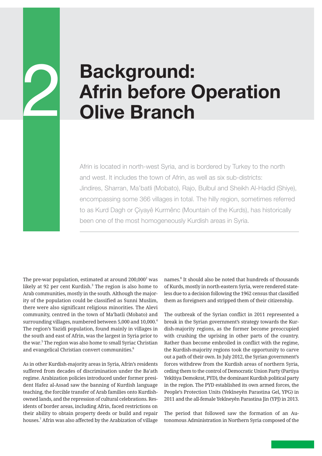# **Background: Afrin before Operation<br>Olive Branch**

Afrin is located in north-west Syria, and is bordered by Turkey to the north and west. It includes the town of Afrin, as well as six sub-districts: Jindires, Sharran, Ma'batli (Mobato), Rajo, Bulbul and Sheikh Al-Hadid (Shiye), encompassing some 366 villages in total. The hilly region, sometimes referred to as Kurd Dagh or Çiyayê Kurmênc (Mountain of the Kurds), has historically been one of the most homogeneously Kurdish areas in Syria.

The pre-war population, estimated at around  $200,000^2$  was likely at 92 per cent Kurdish.<sup>3</sup> The region is also home to Arab communities, mostly in the south. Although the majority of the population could be classified as Sunni Muslim, there were also significant religious minorities. The Alevi community, centred in the town of Ma'batli (Mobato) and surrounding villages, numbered between 5,000 and 10,000.4 The region's Yazidi population, found mainly in villages in the south and east of Afrin, was the largest in Syria prior to the war.5 The region was also home to small Syriac Christian and evangelical Christian convert communities.<sup>6</sup>

As in other Kurdish-majority areas in Syria, Afrin's residents suffered from decades of discrimination under the Ba'ath regime. Arabization policies introduced under former president Hafez al-Assad saw the banning of Kurdish language teaching, the forcible transfer of Arab families onto Kurdishowned lands, and the repression of cultural celebrations. Residents of border areas, including Afrin, faced restrictions on their ability to obtain property deeds or build and repair houses.7 Afrin was also affected by the Arabization of village names.8 It should also be noted that hundreds of thousands of Kurds, mostly in north-eastern Syria, were rendered stateless due to a decision following the 1962 census that classified them as foreigners and stripped them of their citizenship.

The outbreak of the Syrian conflict in 2011 represented a break in the Syrian government's strategy towards the Kurdish-majority regions, as the former become preoccupied with crushing the uprising in other parts of the country. Rather than become embroiled in conflict with the regime, the Kurdish-majority regions took the opportunity to carve out a path of their own. In July 2012, the Syrian government's forces withdrew from the Kurdish areas of northern Syria, ceding them to the control of Democratic Union Party (Partiya Yekîtiya Demokrat, PYD), the dominant Kurdish political party in the region. The PYD established its own armed forces, the People's Protection Units (Yekîneyên Parastina Gel, YPG) in 2011 and the all-female Yekîneyên Parastina Jin (YPJ) in 2013.

The period that followed saw the formation of an Autonomous Administration in Northern Syria composed of the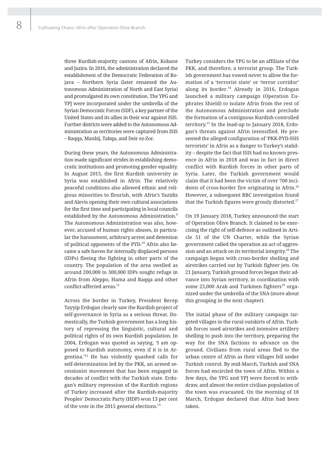three Kurdish-majority cantons of Afrin, Kobane and Jazira. In 2016, the administration declared the establishment of the Democratic Federation of Rojava – Northern Syria (later renamed the Autonomous Administration of North and East Syria) and promulgated its own constitution. The YPG and YPJ were incorporated under the umbrella of the Syrian Democratic Forces (SDF), a key partner of the United States and its allies in their war against ISIS. Further districts were added to the Autonomous Administration as territories were captured from ISIS – Raqqa, Manbij, Tabqa, and Deir ez-Zor.

During these years, the Autonomous Administration made significant strides in establishing democratic institutions and promoting gender equality. In August 2015, the first Kurdish university in Syria was established in Afrin. The relatively peaceful conditions also allowed ethnic and religious minorities to flourish, with Afrin's Yazidis and Alevis opening their own cultural associations for the first time and participating in local councils established by the Autonomous Administration.<sup>9</sup> The Autonomous Administration was also, however, accused of human rights abuses, in particular the harassment, arbitrary arrest and detention of political opponents of the PYD.<sup>10</sup> Afrin also became a safe haven for internally displaced persons (IDPs) fleeing the fighting in other parts of the country. The population of the area swelled as around 200,000 to 300,000 IDPs sought refuge in Afrin from Aleppo, Hama and Raqqa and other conflict-affected areas.<sup>11</sup>

Across the border in Turkey, President Recep Tayyip Erdogan clearly saw the Kurdish project of self-governance in Syria as a serious threat. Domestically, the Turkish government has a long history of repressing the linguistic, cultural and political rights of its own Kurdish population. In 2004, Erdogan was quoted as saying, 'I am opposed to Kurdish autonomy, even if it is in Argentina.'<sup>12</sup> He has violently quashed calls for self-determination led by the PKK, an armed secessionist movement that has been engaged in decades of conflict with the Turkish state. Erdogan's military repression of the Kurdish regions of Turkey increased after the Kurdish-majority Peoples' Democratic Party (HDP) won 13 per cent of the vote in the 2015 general elections.<sup>13</sup>

Turkey considers the YPG to be an affiliate of the PKK, and therefore, a terrorist group. The Turkish government has vowed never to allow the formation of a 'terrorist state' or 'terror corridor' along its border. $14$  Already in 2016, Erdogan launched a military campaign (Operation Euphrates Shield) to isolate Afrin from the rest of the Autonomous Administration and preclude the formation of a contiguous Kurdish-controlled territory.<sup>15</sup> In the lead-up to January 2018, Erdogan's threats against Afrin intensified. He presented the alleged configuration of 'PKK-PYD-ISIS terrorists' in Afrin as a danger to Turkey's stability – despite the fact that ISIS had no known presence in Afrin in 2018 and was in fact in direct conflict with Kurdish forces in other parts of Syria. Later, the Turkish government would claim that it had been the victim of over 700 incidents of cross-border fire originating in Afrin. $16$ However, a subsequent BBC investigation found that the Turkish figures were grossly distorted. $17$ 

On 19 January 2018, Turkey announced the start of Operation Olive Branch. It claimed to be exercising the right of self-defence as outlined in Article 51 of the UN Charter, while the Syrian government called the operation an act of aggression and an attack on its territorial integrity.<sup>18</sup> The campaign began with cross-border shelling and airstrikes carried out by Turkish fighter jets. On 21 January, Turkish ground forces began their advance into Syrian territory, in coordination with some 25,000 Arab and Turkmen fighters<sup>19</sup> organized under the umbrella of the SNA (more about this grouping in the next chapter).

The initial phase of the military campaign targeted villages in the rural outskirts of Afrin. Turkish forces used airstrikes and intensive artillery shelling to push into the territory, preparing the way for the SNA factions to advance on the ground. Civilians from rural areas fled to the urban centre of Afrin as their villages fell under Turkish control. By mid-March, Turkish and SNA forces had encircled the town of Afrin. Within a few days, the YPG and YPJ were forced to withdraw, and almost the entire civilian population of the town was evacuated. On the morning of 18 March, Erdogan declared that Afrin had been taken.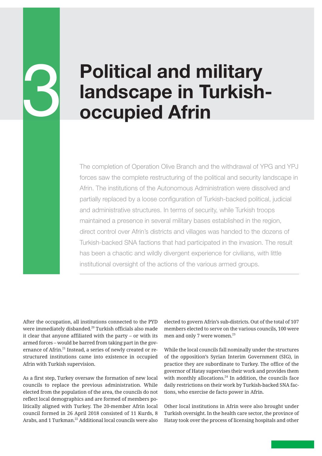## **Political and military landscape in Turkishoccupied Afrin**

The completion of Operation Olive Branch and the withdrawal of YPG and YPJ forces saw the complete restructuring of the political and security landscape in Afrin. The institutions of the Autonomous Administration were dissolved and partially replaced by a loose configuration of Turkish-backed political, judicial and administrative structures. In terms of security, while Turkish troops maintained a presence in several military bases established in the region, direct control over Afrin's districts and villages was handed to the dozens of Turkish-backed SNA factions that had participated in the invasion. The result has been a chaotic and wildly divergent experience for civilians, with little institutional oversight of the actions of the various armed groups.

After the occupation, all institutions connected to the PYD were immediately disbanded.<sup>20</sup> Turkish officials also made it clear that anyone affiliated with the party – or with its armed forces – would be barred from taking part in the governance of Afrin.<sup>21</sup> Instead, a series of newly created or restructured institutions came into existence in occupied Afrin with Turkish supervision.

3

As a first step, Turkey oversaw the formation of new local councils to replace the previous administration. While elected from the population of the area, the councils do not reflect local demographics and are formed of members politically aligned with Turkey. The 20-member Afrin local council formed in 26 April 2018 consisted of 11 Kurds, 8 Arabs, and 1 Turkman.<sup>22</sup> Additional local councils were also

elected to govern Afrin's sub-districts. Out of the total of 107 members elected to serve on the various councils, 100 were men and only 7 were women. $23$ 

While the local councils fall nominally under the structures of the opposition's Syrian Interim Government (SIG), in practice they are subordinate to Turkey. The office of the governor of Hatay supervises their work and provides them with monthly allocations. $24$  In addition, the councils face daily restrictions on their work by Turkish-backed SNA factions, who exercise de facto power in Afrin.

Other local institutions in Afrin were also brought under Turkish oversight. In the health care sector, the province of Hatay took over the process of licensing hospitals and other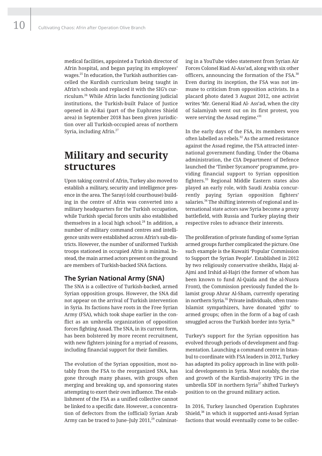medical facilities, appointed a Turkish director of Afrin hospital, and began paying its employees' wages.25 In education, the Turkish authorities cancelled the Kurdish curriculum being taught in Afrin's schools and replaced it with the SIG's curriculum.<sup>26</sup> While Afrin lacks functioning judicial institutions, the Turkish-built Palace of Justice opened in Al-Rai (part of the Euphrates Shield area) in September 2018 has been given jurisdiction over all Turkish-occupied areas of northern Syria, including Afrin.<sup>27</sup>

## **Military and security structures**

Upon taking control of Afrin, Turkey also moved to establish a military, security and intelligence presence in the area. The Sarayi (old courthouse) building in the centre of Afrin was converted into a military headquarters for the Turkish occupation, while Turkish special forces units also established themselves in a local high school. $^{28}$  In addition, a number of military command centres and intelligence units were established across Afrin's sub-districts. However, the number of uniformed Turkish troops stationed in occupied Afrin is minimal. Instead, the main armed actors present on the ground are members of Turkish-backed SNA factions.

#### **The Syrian National Army (SNA)**

The SNA is a collective of Turkish-backed, armed Syrian opposition groups. However, the SNA did not appear on the arrival of Turkish intervention in Syria. Its factions have roots in the Free Syrian Army (FSA), which took shape earlier in the conflict as an umbrella organization of opposition forces fighting Assad. The SNA, in its current form, has been bolstered by more recent recruitment, with new fighters joining for a myriad of reasons, including financial support for their families.

The evolution of the Syrian opposition, most notably from the FSA to the reorganized SNA, has gone through many phases, with groups often merging and breaking up, and sponsoring states attempting to exert their own influence. The establishment of the FSA as a unified collective cannot be linked to a specific date. However, a concentration of defectors from the (official) Syrian Arab Army can be traced to June–July  $2011<sup>29</sup>$  culminating in a YouTube video statement from Syrian Air Forces Colonel Riad Al-Ass'ad, along with six other officers, announcing the formation of the FSA.<sup>30</sup> Even during its inception, the FSA was not immune to criticism from opposition activists. In a placard photo dated 3 August 2012, one activist writes 'Mr. General Riad Al- Ass'ad, when the city of Salamiyah went out on its first protest, you were serving the Assad regime.'<sup>31</sup>

In the early days of the FSA, its members were often labelled as rebels.<sup>32</sup> As the armed resistance against the Assad regime, the FSA attracted international government funding. Under the Obama administration, the CIA Department of Defence launched the 'Timber Sycamore' programme, providing financial support to Syrian opposition fighters.<sup>33</sup> Regional Middle Eastern states also played an early role, with Saudi Arabia concurrently paying Syrian opposition fighters' salaries. $34$  The shifting interests of regional and international state actors saw Syria become a proxy battlefield, with Russia and Turkey playing their respective roles to advance their interests.

The proliferation of private funding of some Syrian armed groups further complicated the picture. One such example is the Kuwaiti 'Popular Commission to Support the Syrian People'. Established in 2012 by two religiously conservative sheikhs, Hajaj al-Ajmi and Irshid al-Hajri (the former of whom has been known to fund Al-Qaida and the al-Nusra Front), the Commission previously funded the Islamist group Ahrar Al-Sham, currently operating in northern Syria.<sup>35</sup> Private individuals, often trans-Islamist sympathizers, have donated 'gifts' to armed groups; often in the form of a bag of cash smuggled across the Turkish border into Syria.<sup>36</sup>

Turkey's support for the Syrian opposition has evolved through periods of development and fragmentation. Launching a command centre in Istanbul to coordinate with FSA leaders in 2012, Turkey has adapted its policy approach in line with political developments in Syria. Most notably, the rise and growth of the Kurdish-majority YPG in the umbrella SDF in northern Syria<sup>37</sup> shifted Turkey's position to on the ground military action.

In 2016, Turkey launched Operation Euphrates Shield,38 in which it supported anti-Assad Syrian factions that would eventually come to be collec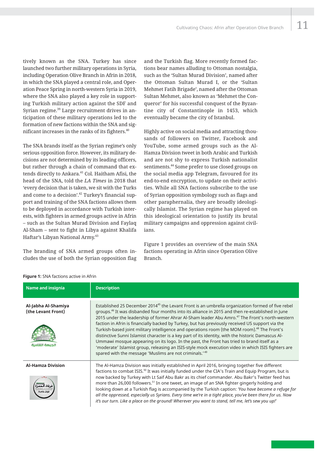tively known as the SNA. Turkey has since launched two further military operations in Syria, including Operation Olive Branch in Afrin in 2018, in which the SNA played a central role, and Operation Peace Spring in north-western Syria in 2019, where the SNA also played a key role in supporting Turkish military action against the SDF and Syrian regime.<sup>39</sup> Large recruitment drives in anticipation of these military operations led to the formation of new factions within the SNA and significant increases in the ranks of its fighters.<sup>40</sup>

The SNA brands itself as the Syrian regime's only serious opposition force. However, its military decisions are not determined by its leading officers, but rather through a chain of command that extends directly to Ankara.<sup>41</sup> Col. Haitham Afisi, the head of the SNA, told the *LA Times* in 2018 that 'every decision that is taken, we sit with the Turks and come to a decision'.<sup>42</sup> Turkey's financial support and training of the SNA factions allows them to be deployed in accordance with Turkish interests, with fighters in armed groups active in Afrin – such as the Sultan Murad Division and Faylaq Al-Sham – sent to fight in Libya against Khalifa Haftar's Libyan National Army.<sup>43</sup>

The branding of SNA armed groups often includes the use of both the Syrian opposition flag and the Turkish flag. More recently formed factions bear names alluding to Ottoman nostalgia, such as the 'Sultan Murad Division', named after the Ottoman Sultan Murad I, or the 'Sultan Mehmet Fatih Brigade', named after the Ottoman Sultan Mehmet, also known as 'Mehmet the Conqueror' for his successful conquest of the Byzantine city of Constantinople in 1453, which eventually became the city of Istanbul.

Highly active on social media and attracting thousands of followers on Twitter, Facebook and YouTube, some armed groups such as the Al-Hamza Division tweet in both Arabic and Turkish and are not shy to express Turkish nationalist sentiments.<sup>44</sup> Some prefer to use closed groups on the social media app Telegram, favoured for its end-to-end encryption, to update on their activities. While all SNA factions subscribe to the use of Syrian opposition symbology such as flags and other paraphernalia, they are broadly ideologically Islamist. The Syrian regime has played on this ideological orientation to justify its brutal military campaigns and oppression against civilians.

Figure 1 provides an overview of the main SNA factions operating in Afrin since Operation Olive Branch.

| <b>Name and insignia</b>                  | <b>Description</b>                                                                                                                                                                                                                                                                                                                                                                                                                                                                                                                                                                                                                                                                                                                                                                                                                                                                                                            |
|-------------------------------------------|-------------------------------------------------------------------------------------------------------------------------------------------------------------------------------------------------------------------------------------------------------------------------------------------------------------------------------------------------------------------------------------------------------------------------------------------------------------------------------------------------------------------------------------------------------------------------------------------------------------------------------------------------------------------------------------------------------------------------------------------------------------------------------------------------------------------------------------------------------------------------------------------------------------------------------|
| Al-Jabha Al-Shamiya<br>(the Levant Front) | Established 25 December 2014 <sup>45</sup> the Levant Front is an umbrella organization formed of five rebel<br>groups. <sup>46</sup> It was disbanded four months into its alliance in 2015 and then re-established in June<br>2015 under the leadership of former Ahrar Al-Sham leader Abu Amro. <sup>47</sup> The Front's north-western<br>faction in Afrin is financially backed by Turkey, but has previously received US support via the<br>Turkish-based joint military intelligence and operations room (the MOM room). <sup>48</sup> The Front's<br>distinctive Sunni Islamist character is a key part of its identity, with the historic Damascus Al-<br>Ummawi mosque appearing on its logo. In the past, the Front has tried to brand itself as a<br>'moderate' Islamist group, releasing an ISIS-style mock execution video in which ISIS fighters are<br>spared with the message 'Muslims are not criminals.'49 |
| <b>Al-Hamza Division</b>                  | The Al-Hamza Division was initially established in April 2016, bringing together five different<br>factions to combat ISIS. <sup>50</sup> It was initially funded under the CIA's Train and Equip Program, but is<br>now backed by Turkey with Lt Saif Abu Bakr as its chief commander. Abu Bakr's Twitter feed has<br>more than 26,000 followers. <sup>51</sup> In one tweet, an image of an SNA fighter gingerly holding and<br>looking down at a Turkish flag is accompanied by the Turkish caption: You have become a refuge for<br>all the oppressed, especially us Syrians. Every time we're in a tight place, you've been there for us. Now<br>it's our turn. Like a place on the ground! Wherever you want to stand, tell me, let's sew you up!'                                                                                                                                                                      |

#### **Figure 1:** SNA factions active in Afrin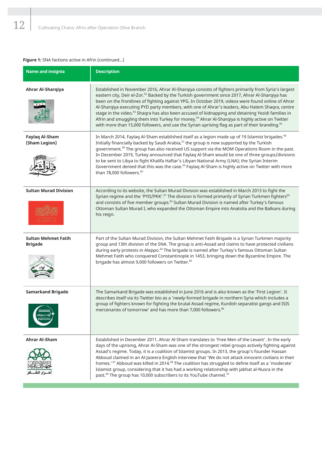#### **Figure 1:** SNA factions active in Afrin (continued...)

| <b>Name and insignia</b>                     | <b>Description</b>                                                                                                                                                                                                                                                                                                                                                                                                                                                                                                                                                                                                                                                                                                                                                       |  |  |  |
|----------------------------------------------|--------------------------------------------------------------------------------------------------------------------------------------------------------------------------------------------------------------------------------------------------------------------------------------------------------------------------------------------------------------------------------------------------------------------------------------------------------------------------------------------------------------------------------------------------------------------------------------------------------------------------------------------------------------------------------------------------------------------------------------------------------------------------|--|--|--|
| <b>Ahrar Al-Sharqiya</b>                     | Established in November 2016, Ahrar Al-Sharqiya consists of fighters primarily from Syria's largest<br>eastern city, Deir el-Zor. <sup>52</sup> Backed by the Turkish government since 2017, Ahrar Al-Sharqiya has<br>been on the frontlines of fighting against YPG. In October 2019, videos were found online of Ahrar<br>Al-Sharqiya executing PYD party members, with one of Ahrar's leaders, Abu Hatem Shaqra, centre<br>stage in the video. <sup>53</sup> Shaqra has also been accused of kidnapping and detaining Yezidi families in<br>Afrin and smuggling them into Turkey for money. <sup>54</sup> Ahrar Al-Sharqiya is highly active on Twitter<br>with more than 15,000 followers, and use the Syrian uprising flag as part of their branding. <sup>55</sup> |  |  |  |
| <b>Faylaq Al-Sham</b><br>(Sham Legion)       | In March 2014, Faylaq Al-Sham established itself as a legion made up of 19 Islamist brigades. <sup>56</sup><br>Initially financially backed by Saudi Arabia, <sup>57</sup> the group is now supported by the Turkish<br>government. <sup>58</sup> The group has also received US support via the MOM Operations Room in the past.<br>In December 2019, Turkey announced that Faylaq Al-Sham would be one of three groups/divisions<br>to be sent to Libya to fight Khalifa Haftar's Libyan National Army (LNA); the Syrian Interim<br>Government denied that this was the case. <sup>59</sup> Faylaq Al-Sham is highly active on Twitter with more<br>than 78,000 followers. <sup>60</sup>                                                                               |  |  |  |
| <b>Sultan Murad Division</b>                 | According to its website, the Sultan Murad Division was established in March 2013 to fight the<br>Syrian regime and the 'PYD/PKK'. <sup>61</sup> The division is formed primarily of Syrian Turkmen fighters <sup>62</sup><br>and consists of five member groups. <sup>63</sup> Sultan Murad Division is named after Turkey's famous<br>Ottoman Sultan Murad I, who expanded the Ottoman Empire into Anatolia and the Balkans during<br>his reign.                                                                                                                                                                                                                                                                                                                       |  |  |  |
| <b>Sultan Mehmet Fatih</b><br><b>Brigade</b> | Part of the Sultan Murad Division, the Sultan Mehmet Fatih Brigade is a Syrian Turkmen majority<br>group and 13th division of the SNA. The group is anti-Assad and claims to have protected civilians<br>during early protests in Aleppo. <sup>64</sup> The brigade is named after Turkey's famous Ottoman Sultan<br>Mehmet Fatih who conquered Constantinople in 1453, bringing down the Byzantine Empire. The<br>brigade has almost 9,000 followers on Twitter. <sup>65</sup>                                                                                                                                                                                                                                                                                          |  |  |  |
| <b>Samarkand Brigade</b>                     | The Samarkand Brigade was established in June 2016 and is also known as the 'First Legion'. It<br>describes itself via its Twitter bio as a 'newly-formed brigade in northern Syria which includes a<br>group of fighters known for fighting the brutal Assad regime, Kurdish separatist gangs and ISIS<br>mercenaries of tomorrow' and has more than 7,000 followers. <sup>66</sup>                                                                                                                                                                                                                                                                                                                                                                                     |  |  |  |
| <b>Ahrar Al-Sham</b>                         | Established in December 2011, Ahrar Al-Sham translates to 'Free Men of the Levant'. In the early<br>days of the uprising, Ahrar Al-Sham was one of the strongest rebel groups actively fighting against<br>Assad's regime. Today, it is a coalition of Islamist groups. In 2013, the group's founder Hassan<br>Abboud claimed in an Al-Jazeera English interview that 'We do not attack innocent civilians in their<br>homes.' <sup>67</sup> Abboud was killed in 2014. <sup>68</sup> The coalition has struggled to define itself as a 'moderate'<br>Islamist group, considering that it has had a working relationship with Jabhat al-Nusra in the<br>past. <sup>69</sup> The group has 10,000 subscribers to its YouTube channel. <sup>70</sup>                       |  |  |  |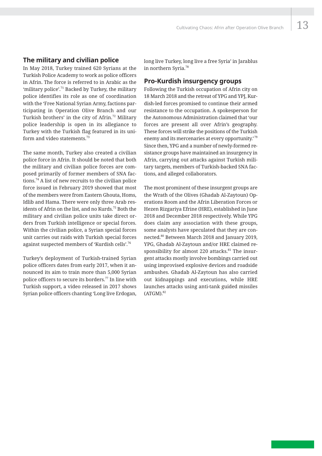### **The military and civilian police**

In May 2018, Turkey trained 620 Syrians at the Turkish Police Academy to work as police officers in Afrin. The force is referred to in Arabic as the 'military police'.71 Backed by Turkey, the military police identifies its role as one of coordination with the 'Free National Syrian Army, factions participating in Operation Olive Branch and our Turkish brothers' in the city of Afrin.<sup>72</sup> Military police leadership is open in its allegiance to Turkey with the Turkish flag featured in its uniform and video statements. $73$ 

The same month, Turkey also created a civilian police force in Afrin. It should be noted that both the military and civilian police forces are composed primarily of former members of SNA factions.<sup>74</sup> A list of new recruits to the civilian police force issued in February 2019 showed that most of the members were from Eastern Ghouta, Homs, Idlib and Hama. There were only three Arab residents of Afrin on the list, and no Kurds.<sup>75</sup> Both the military and civilian police units take direct orders from Turkish intelligence or special forces. Within the civilian police, a Syrian special forces unit carries out raids with Turkish special forces against suspected members of 'Kurdish cells'.76

Turkey's deployment of Turkish-trained Syrian police officers dates from early 2017, when it announced its aim to train more than 5,000 Syrian police officers to secure its borders.<sup>77</sup> In line with Turkish support, a video released in 2017 shows Syrian police officers chanting 'Long live Erdogan, long live Turkey, long live a free Syria' in Jarablus in northern Syria.78

#### **Pro-Kurdish insurgency groups**

Following the Turkish occupation of Afrin city on 18 March 2018 and the retreat of YPG and YPJ, Kurdish-led forces promised to continue their armed resistance to the occupation. A spokesperson for the Autonomous Administration claimed that 'our forces are present all over Afrin's geography. These forces will strike the positions of the Turkish enemy and its mercenaries at every opportunity.<sup>79</sup> Since then, YPG and a number of newly-formed resistance groups have maintained an insurgency in Afrin, carrying out attacks against Turkish military targets, members of Turkish-backed SNA factions, and alleged collaborators.

The most prominent of these insurgent groups are the Wrath of the Olives (Ghadab Al-Zaytoun) Operations Room and the Afrin Liberation Forces or Hezen Rizgariya Efrine (HRE), established in June 2018 and December 2018 respectively. While YPG does claim any association with these groups, some analysts have speculated that they are connected.<sup>80</sup> Between March 2018 and January 2019, YPG, Ghadab Al-Zaytoun and/or HRE claimed responsibility for almost 220 attacks. $81$  The insurgent attacks mostly involve bombings carried out using improvised explosive devices and roadside ambushes. Ghadab Al-Zaytoun has also carried out kidnappings and executions, while HRE launches attacks using anti-tank guided missiles  $(ATGM).$ <sup>82</sup>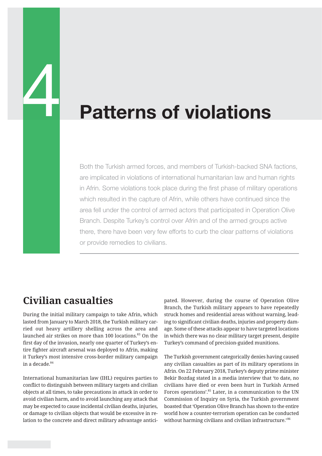## **Patterns of violations**

Both the Turkish armed forces, and members of Turkish-backed SNA factions, are implicated in violations of international humanitarian law and human rights in Afrin. Some violations took place during the first phase of military operations which resulted in the capture of Afrin, while others have continued since the area fell under the control of armed actors that participated in Operation Olive Branch. Despite Turkey's control over Afrin and of the armed groups active there, there have been very few efforts to curb the clear patterns of violations or provide remedies to civilians.

## **Civilian casualties**

During the initial military campaign to take Afrin, which lasted from January to March 2018, the Turkish military carried out heavy artillery shelling across the area and launched air strikes on more than 100 locations.<sup>83</sup> On the first day of the invasion, nearly one quarter of Turkey's entire fighter aircraft arsenal was deployed to Afrin, making it Turkey's most intensive cross-border military campaign in a decade.84

International humanitarian law (IHL) requires parties to conflict to distinguish between military targets and civilian objects at all times, to take precautions in attack in order to avoid civilian harm, and to avoid launching any attack that may be expected to cause incidental civilian deaths, injuries, or damage to civilian objects that would be excessive in relation to the concrete and direct military advantage antici-

pated. However, during the course of Operation Olive Branch, the Turkish military appears to have repeatedly struck homes and residential areas without warning, leading to significant civilian deaths, injuries and property damage. Some of these attacks appear to have targeted locations in which there was no clear military target present, despite Turkey's command of precision-guided munitions.

The Turkish government categorically denies having caused any civilian casualties as part of its military operations in Afrin. On 22 February 2018, Turkey's deputy prime minister Bekir Bozdag stated in a media interview that 'to date, no civilians have died or even been hurt in Turkish Armed Forces operations'.<sup>85</sup> Later, in a communication to the UN Commission of Inquiry on Syria, the Turkish government boasted that 'Operation Olive Branch has shown to the entire world how a counter-terrorism operation can be conducted without harming civilians and civilian infrastructure.' 86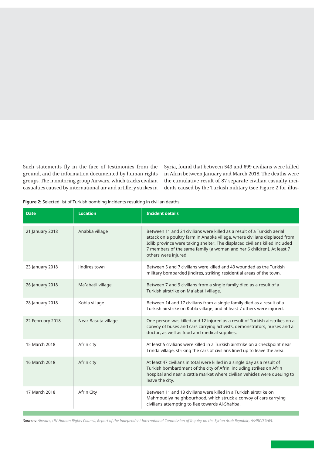Such statements fly in the face of testimonies from the ground, and the information documented by human rights groups. The monitoring group Airwars, which tracks civilian casualties caused by international air and artillery strikes in

Syria, found that between 543 and 699 civilians were killed in Afrin between January and March 2018. The deaths were the cumulative result of 87 separate civilian casualty incidents caused by the Turkish military (see Figure 2 for illus-

|  | <b>Figure 2:</b> Selected list of Turkish bombing incidents resulting in civilian deaths |  |
|--|------------------------------------------------------------------------------------------|--|
|  |                                                                                          |  |

| <b>Date</b>      | <b>Location</b>     | <b>Incident details</b>                                                                                                                                                                                                                                                                                                               |
|------------------|---------------------|---------------------------------------------------------------------------------------------------------------------------------------------------------------------------------------------------------------------------------------------------------------------------------------------------------------------------------------|
| 21 January 2018  | Anabka village      | Between 11 and 24 civilians were killed as a result of a Turkish aerial<br>attack on a poultry farm in Anabka village, where civilians displaced from<br>Idlib province were taking shelter. The displaced civilians killed included<br>7 members of the same family (a woman and her 6 children). At least 7<br>others were injured. |
| 23 January 2018  | lindires town       | Between 5 and 7 civilians were killed and 49 wounded as the Turkish<br>military bombarded Jindires, striking residential areas of the town.                                                                                                                                                                                           |
| 26 January 2018  | Ma'abatli village   | Between 7 and 9 civilians from a single family died as a result of a<br>Turkish airstrike on Ma'abatli village.                                                                                                                                                                                                                       |
| 28 January 2018  | Kobla village       | Between 14 and 17 civilians from a single family died as a result of a<br>Turkish airstrike on Kobla village, and at least 7 others were injured.                                                                                                                                                                                     |
| 22 February 2018 | Near Basuta village | One person was killed and 12 injured as a result of Turkish airstrikes on a<br>convoy of buses and cars carrying activists, demonstrators, nurses and a<br>doctor, as well as food and medical supplies.                                                                                                                              |
| 15 March 2018    | Afrin city          | At least 5 civilians were killed in a Turkish airstrike on a checkpoint near<br>Trinda village, striking the cars of civilians lined up to leave the area.                                                                                                                                                                            |
| 16 March 2018    | Afrin city          | At least 47 civilians in total were killed in a single day as a result of<br>Turkish bombardment of the city of Afrin, including strikes on Afrin<br>hospital and near a cattle market where civilian vehicles were queuing to<br>leave the city.                                                                                     |
| 17 March 2018    | Afrin City          | Between 11 and 13 civilians were killed in a Turkish airstrike on<br>Mahmoudiya neighbourhood, which struck a convoy of cars carrying<br>civilians attempting to flee towards Al-Shahba.                                                                                                                                              |

*Sources: Airwars, UN Human Rights Council, Report of the Independent International Commission of Inquiry on the Syrian Arab Republic, A/HRC/39/65.*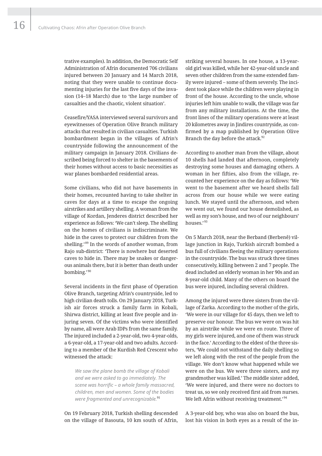trative examples). In addition, the Democratic Self Administration of Afrin documented 706 civilians injured between 20 January and 14 March 2018, noting that they were unable to continue documenting injuries for the last five days of the invasion (14–18 March) due to 'the large number of casualties and the chaotic, violent situation'.

Ceasefire/YASA interviewed several survivors and eyewitnesses of Operation Olive Branch military attacks that resulted in civilian casualties. Turkish bombardment began in the villages of Afrin's countryside following the announcement of the military campaign in January 2018. Civilians described being forced to shelter in the basements of their homes without access to basic necessities as war planes bombarded residential areas.

Some civilians, who did not have basements in their homes, recounted having to take shelter in caves for days at a time to escape the ongoing airstrikes and artillery shelling. A woman from the village of Kordan, Jenderes district described her experience as follows: 'We can't sleep. The shelling on the homes of civilians is indiscriminate. We hide in the caves to protect our children from the shelling.'<sup>89</sup> In the words of another woman, from Rajo sub-district: 'There is nowhere but deserted caves to hide in. There may be snakes or dangerous animals there, but it is better than death under bombing.' <sup>90</sup>

Several incidents in the first phase of Operation Olive Branch, targeting Afrin's countryside, led to high civilian death tolls. On 29 January 2018, Turkish air forces struck a family farm in Kobali, Shirwa district, killing at least five people and injuring seven. Of the victims who were identified by name, all were Arab IDPs from the same family. The injured included a 2-year-old, two 4-year-olds, a 6-year-old, a 17-year-old and two adults. According to a member of the Kurdish Red Crescent who witnessed the attack:

*We saw the plane bomb the village of Kobali and we were asked to go immediately. The scene was horrific – a whole family massacred, children, men and women. Some of the bodies were fragmented and unrecognizable.*<sup>91</sup>

On 19 February 2018, Turkish shelling descended on the village of Basouta, 10 km south of Afrin, striking several houses. In one house, a 13-yearold girl was killed, while her 42-year-old uncle and seven other children from the same extended family were injured – some of them severely. The incident took place while the children were playing in front of the house. According to the uncle, whose injuries left him unable to walk, the village was far from any military installations. At the time, the front lines of the military operations were at least 20 kilometres away in Jindires countryside, as confirmed by a map published by Operation Olive Branch the day before the attack.<sup>92</sup>

According to another man from the village, about 10 shells had landed that afternoon, completely destroying some houses and damaging others. A woman in her fifties, also from the village, recounted her experience on the day as follows: 'We went to the basement after we heard shells fall across from our house while we were eating lunch. We stayed until the afternoon, and when we went out, we found our house demolished, as well as my son's house, and two of our neighbours' houses.'93

On 5 March 2018, near the Berband (Berbenê) village junction in Rajo, Turkish aircraft bombed a bus full of civilians fleeing the military operations in the countryside. The bus was struck three times consecutively, killing between 2 and 7 people. The dead included an elderly woman in her 90s and an 8-year-old child. Many of the others on board the bus were injured, including several children.

Among the injured were three sisters from the village of Zarka. According to the mother of the girls, 'We were in our village for 45 days, then we left to preserve our honour. The bus we were on was hit by an airstrike while we were en route. Three of my girls were injured, and one of them was struck in the face.' According to the eldest of the three sisters, 'We could not withstand the daily shelling so we left along with the rest of the people from the village. We don't know what happened while we were on the bus. We were three sisters, and my grandmother was killed.' The middle sister added, 'We were injured, and there were no doctors to treat us, so we only received first aid from nurses. We left Afrin without receiving treatment.'<sup>94</sup>

A 3-year-old boy, who was also on board the bus, lost his vision in both eyes as a result of the in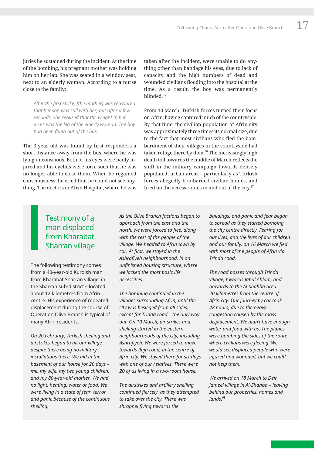juries he sustained during the incident. At the time of the bombing, his pregnant mother was holding him on her lap. She was seated in a window seat, next to an elderly woman. According to a nurse close to the family:

*After the first strike, [the mother] was reassured that her son was still with her, but after a few seconds, she realized that the weight in her arms was the leg of the elderly woman. The boy had been flung out of the bus.*

The 3-year old was found by first responders a short distance away from the bus, where he was lying unconscious. Both of his eyes were badly injured and his eyelids were torn, such that he was no longer able to close them. When he regained consciousness, he cried that he could not see anything. The doctors in Afrin Hospital, where he was taken after the incident, were unable to do anything other than bandage his eyes, due to lack of capacity and the high numbers of dead and wounded civilians flooding into the hospital at the time. As a result, the boy was permanently blinded.95

From 10 March, Turkish forces turned their focus on Afrin, having captured much of the countryside. By that time, the civilian population of Afrin city was approximately three times its normal size, due to the fact that most civilians who fled the bombardment of their villages in the countryside had taken refuge there by then.<sup>96</sup> The increasingly high death toll towards the middle of March reflects the shift in the military campaign towards densely populated, urban areas – particularly as Turkish forces allegedly bombarded civilian homes, and fired on the access routes in and out of the city. $97$ 

### Testimony of a man displaced from Kharabat Sharran village

The following testimony comes from a 40-year-old Kurdish man from Kharabat Sharran village, in the Sharran sub-district – located about 12 kilometres from Afrin centre. His experience of repeated displacement during the course of Operation Olive Branch is typical of many Afrin residents.

*On 20 February, Turkish shelling and airstrikes began to hit our village, despite there being no military installations there. We hid in the basement of our house for 20 days – me, my wife, my two young children, and my 80-year-old mother. We had no light, heating, water or food. We were living in a state of fear, terror and panic because of the continuous shelling.* 

*As the Olive Branch factions began to approach from the east and the north, we were forced to flee, along with the rest of the people of the village. We headed to Afrin town by car. At first, we stayed in the Ashrafiyeh neighbourhood, in an unfinished housing structure, where we lacked the most basic life necessities.* 

*The bombing continued in the villages surrounding Afrin, until the city was besieged from all sides, except for Trinda road – the only way out. On 10 March, air strikes and shelling started in the eastern neighbourhoods of the city, including Ashrafiyeh. We were forced to move towards Raju road, in the centre of Afrin city. We stayed there for six days with one of our relatives. There were 20 of us living in a two-room house.* 

*The airstrikes and artillery shelling continued fiercely, as they attempted to take over the city. There was shrapnel flying towards the*

*buildings, and panic and fear began to spread as they started bombing the city centre directly. Fearing for our lives, and the lives of our children and our family, on 16 March we fled with most of the people of Afrin via Trinda road.* 

*The road passes through Trinda village, towards Jabal Ahlam, and onwards to the Al-Shahba area – 20 kilometres from the centre of Afrin city. Our journey by car took 48 hours, due to the heavy congestion caused by the mass displacement. We didn't have enough water and food with us. The planes were bombing the sides of the route where civilians were fleeing. We would see displaced people who were injured and wounded, but we could not help them.* 

*We arrived on 18 March to Deir Jameel village in Al-Shahba – leaving behind our properties, homes and lands.*<sup>98</sup>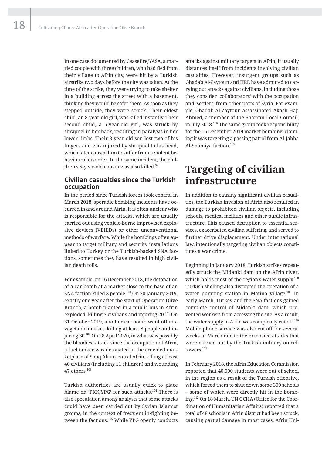In one case documented by Ceasefire/YASA, a married couple with three children, who had fled from their village to Afrin city, were hit by a Turkish airstrike two days before the city was taken. At the time of the strike, they were trying to take shelter in a building across the street with a basement, thinking they would be safer there. As soon as they stepped outside, they were struck. Their eldest child, an 8-year-old girl, was killed instantly. Their second child, a 5-year-old girl, was struck by shrapnel in her back, resulting in paralysis in her lower limbs. Their 3-year-old son lost two of his fingers and was injured by shrapnel to his head, which later caused him to suffer from a violent behavioural disorder. In the same incident, the children's 5-year-old cousin was also killed.<sup>99</sup>

#### **Civilian casualties since the Turkish occupation**

In the period since Turkish forces took control in March 2018, sporadic bombing incidents have occurred in and around Afrin. It is often unclear who is responsible for the attacks, which are usually carried out using vehicle-borne improvised explosive devices (VBIEDs) or other unconventional methods of warfare. While the bombings often appear to target military and security installations linked to Turkey or the Turkish-backed SNA factions, sometimes they have resulted in high civilian death tolls.

For example, on 16 December 2018, the detonation of a car bomb at a market close to the base of an SNA faction killed 8 people.<sup>100</sup> On 20 January 2019, exactly one year after the start of Operation Olive Branch, a bomb planted in a public bus in Afrin exploded, killing 3 civilians and injuring 20.<sup>101</sup> On 31 October 2019, another car bomb went off in a vegetable market, killing at least 8 people and injuring 30.<sup>102</sup> On 28 April 2020, in what was possibly the bloodiest attack since the occupation of Afrin, a fuel tanker was detonated in the crowded marketplace of Souq Ali in central Afrin, killing at least 40 civilians (including 11 children) and wounding  $47$  others. $103$ 

Turkish authorities are usually quick to place blame on 'PKK/YPG' for such attacks.<sup>104</sup> There is also speculation among analysts that some attacks could have been carried out by Syrian Islamist groups, in the context of frequent in-fighting between the factions.<sup>105</sup> While YPG openly conducts

attacks against military targets in Afrin, it usually distances itself from incidents involving civilian casualties. However, insurgent groups such as Ghadab Al-Zaytoun and HRE have admitted to carrying out attacks against civilians, including those they consider 'collaborators' with the occupation and 'settlers' from other parts of Syria. For example, Ghadab Al-Zaytoun assassinated Akash Haji Ahmed, a member of the Sharran Local Council, in July 2018.106 The same group took responsibility for the 16 December 2019 market bombing, claiming it was targeting a passing patrol from Al-Jabha Al-Shamiya faction.<sup>107</sup>

## **Targeting of civilian infrastructure**

In addition to causing significant civilian casualties, the Turkish invasion of Afrin also resulted in damage to prohibited civilian objects, including schools, medical facilities and other public infrastructure. This caused disruption to essential services, exacerbated civilian suffering, and served to further drive displacement. Under international law, intentionally targeting civilian objects constitutes a war crime.

Beginning in January 2018, Turkish strikes repeatedly struck the Midanki dam on the Afrin river, which holds most of the region's water supply.<sup>108</sup> Turkish shelling also disrupted the operation of a water pumping station in Matina village. $109$  In early March, Turkey and the SNA factions gained complete control of Midanki dam, which prevented workers from accessing the site. As a result, the water supply in Afrin was completely cut off.<sup>110</sup> Mobile phone service was also cut off for several weeks in March due to the extensive attacks that were carried out by the Turkish military on cell towers.<sup>111</sup>

In February 2018, the Afrin Education Commission reported that 40,000 students were out of school in the region as a result of the Turkish offensive, which forced them to shut down some 300 schools – some of which were directly hit in the bombing.112 On 18 March, UN OCHA (Office for the Coordination of Humanitarian Affairs) reported that a total of 48 schools in Afrin district had been struck, causing partial damage in most cases. Afrin Uni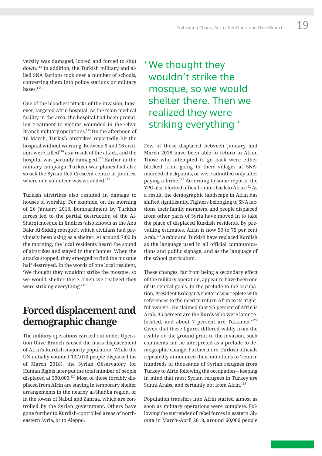versity was damaged, looted and forced to shut down.113 In addition, the Turkish military and allied SNA factions took over a number of schools, converting them into police stations or military bases.114

One of the bloodiest attacks of the invasion, however, targeted Afrin hospital. As the main medical facility in the area, the hospital had been providing treatment to victims wounded in the Olive Branch military operations.115 On the afternoon of 16 March, Turkish airstrikes reportedly hit the hospital without warning. Between 9 and 16 civilians were killed<sup>116</sup> as a result of the attack, and the hospital was partially damaged. $117$  Earlier in the military campaign, Turkish war planes had also struck the Syrian Red Crescent centre in Jindires, where one volunteer was wounded.<sup>118</sup>

Turkish airstrikes also resulted in damage to houses of worship. For example, on the morning of 26 January 2018, bombardment by Turkish forces led to the partial destruction of the Al-Sharqi mosque in Jindires (also known as the Abu Bakr Al-Siddiq mosque), which civilians had previously been using as a shelter. At around 7:00 in the morning, the local residents heard the sound of airstrikes and stayed in their homes. When the attacks stopped, they emerged to find the mosque half destroyed. In the words of one local resident, 'We thought they wouldn't strike the mosque, so we would shelter there. Then we realized they were striking everything.'<sup>119</sup>

## **Forced displacement and demographic change**

The military operations carried out under Operation Olive Branch caused the mass displacement of Afrin's Kurdish-majority population. While the UN initially counted 137,070 people displaced (as of March 2018), the Syrian Observatory for Human Rights later put the total number of people displaced at 300,000.<sup>120</sup> Most of those forcibly displaced from Afrin are staying in temporary shelter arrangements in the nearby al-Shahba region, or in the towns of Nabul and Zahraa, which are controlled by the Syrian government. Others have gone further to Kurdish-controlled areas of northeastern Syria, or to Aleppo.

' We thought they wouldn't strike the mosque, so we would shelter there. Then we realized they were striking everything '

Few of those displaced between January and March 2018 have been able to return to Afrin. Those who attempted to go back were either blocked from going to their villages at SNAmanned checkpoints, or were admitted only after paying a bribe. $121$  According to some reports, the YPG also blocked official routes back to Afrin.<sup>122</sup> As a result, the demographic landscape in Afrin has shifted significantly. Fighters belonging to SNA factions, their family members, and people displaced from other parts of Syria have moved in to take the place of displaced Kurdish residents. By prevailing estimates, Afrin is now 50 to 75 per cent Arab.123 Arabic and Turkish have replaced Kurdish as the language used in all official communications and public signage, and as the language of the school curriculum.

These changes, far from being a secondary effect of the military operation, appear to have been one of its central goals. In the prelude to the occupation, President Erdogan's rhetoric was replete with references to the need to return Afrin to its 'rightful owners'. He claimed that '55 percent of Afrin is Arab, 35 percent are the Kurds who were later relocated, and about 7 percent are Turkmen.'<sup>124</sup> Given that these figures differed wildly from the reality on the ground prior to the invasion, such comments can be interpreted as a prelude to demographic change. Furthermore, Turkish officials repeatedly announced their intentions to 'return' hundreds of thousands of Syrian refugees from Turkey to Afrin following the occupation – keeping in mind that most Syrian refugees in Turkey are Sunni Arabs, and certainly not from Afrin.<sup>125</sup>

Population transfers into Afrin started almost as soon as military operations were complete. Following the surrender of rebel forces in eastern Ghouta in March–April 2018, around 60,000 people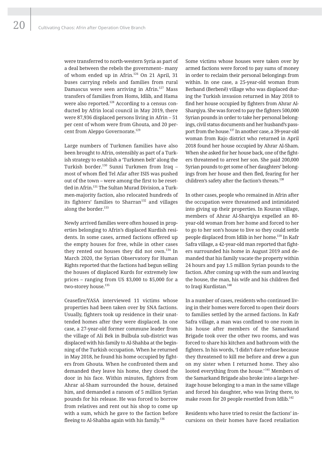were transferred to north-western Syria as part of a deal between the rebels the government– many of whom ended up in Afrin.<sup>126</sup> On 21 April, 31 buses carrying rebels and families from rural Damascus were seen arriving in Afrin.<sup>127</sup> Mass transfers of families from Homs, Idlib, and Hama were also reported.<sup>128</sup> According to a census conducted by Afrin local council in May 2019, there were 87,936 displaced persons living in Afrin – 51 per cent of whom were from Ghouta, and 20 percent from Aleppo Governorate.<sup>129</sup>

Large numbers of Turkmen families have also been brought to Afrin, ostensibly as part of a Turkish strategy to establish a 'Turkmen belt' along the Turkish border.<sup>130</sup> Sunni Turkmen from Iraq most of whom fled Tel Afar after ISIS was pushed out of the town – were among the first to be resettled in Afrin.<sup>131</sup> The Sultan Murad Division, a Turkmen-majority faction, also relocated hundreds of its fighters' families to Sharran $132$  and villages along the border.<sup>133</sup>

Newly arrived families were often housed in properties belonging to Afrin's displaced Kurdish residents. In some cases, armed factions offered up the empty houses for free, while in other cases they rented out houses they did not own.<sup>134</sup> In March 2020, the Syrian Observatory for Human Rights reported that the factions had begun selling the houses of displaced Kurds for extremely low prices – ranging from US \$3,000 to \$5,000 for a two-storey house.<sup>135</sup>

Ceasefire/YASA interviewed 11 victims whose properties had been taken over by SNA factions. Usually, fighters took up residence in their unattended homes after they were displaced. In one case, a 27-year-old former commune leader from the village of Ali Bek in Bulbula sub-district was displaced with his family to Al-Shahba at the beginning of the Turkish occupation. When he returned in May 2018, he found his home occupied by fighters from Ghouta. When he confronted them and demanded they leave his home, they closed the door in his face. Within minutes, fighters from Ahrar al-Sham surrounded the house, detained him, and demanded a ransom of 5 million Syrian pounds for his release. He was forced to borrow from relatives and rent out his shop to come up with a sum, which he gave to the faction before fleeing to Al-Shahba again with his family.<sup>136</sup>

Some victims whose houses were taken over by armed factions were forced to pay sums of money in order to reclaim their personal belongings from within. In one case, a 25-year-old woman from Berband (Berbenê) village who was displaced during the Turkish invasion returned in May 2018 to find her house occupied by fighters from Ahrar Al-Sharqiya. She was forced to pay the fighters 500,000 Syrian pounds in order to take her personal belongings, civil status documents and her husband's passport from the house.137 In another case, a 39-year-old woman from Rajo district who returned in April 2018 found her house occupied by Ahrar Al-Sham. When she asked for her house back, one of the fighters threatened to arrest her son. She paid 200,000 Syrian pounds to get some of her daughters' belongings from her house and then fled, fearing for her children's safety after the faction's threats.<sup>138</sup>

In other cases, people who remained in Afrin after the occupation were threatened and intimidated into giving up their properties. In Kouran village, members of Ahrar Al-Sharqiya expelled an 80 year-old woman from her home and forced to her to go to her son's house to live so they could settle people displaced from Idlib in her home.139 In Kafr Safra village, a 42-year-old man reported that fighters surrounded his home in August 2019 and demanded that his family vacate the property within 24 hours and pay 1.5 million Syrian pounds to the faction. After coming up with the sum and leaving the house, the man, his wife and his children fled to Iraqi Kurdistan.<sup>140</sup>

In a number of cases, residents who continued living in their homes were forced to open their doors to families settled by the armed factions. In Kafr Safra village, a man was confined to one room in his house after members of the Samarkand Brigade took over the other two rooms, and was forced to share his kitchen and bathroom with the fighters. In his words, 'I didn't dare refuse because they threatened to kill me before and drew a gun on my sister when I returned home. They also looted everything from the house.'<sup>141</sup> Members of the Samarkand Brigade also broke into a large heritage house belonging to a man in the same village and forced his daughter, who was living there, to make room for 20 people resettled from Idlib.<sup>142</sup>

Residents who have tried to resist the factions' incursions on their homes have faced retaliation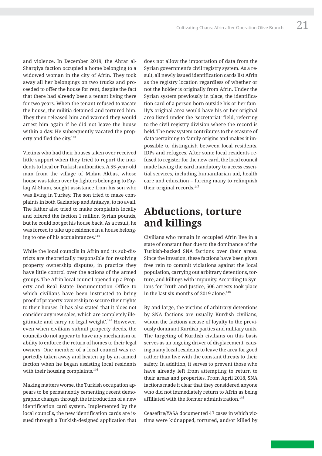and violence. In December 2019, the Ahrar al-Sharqiya faction occupied a home belonging to a widowed woman in the city of Afrin. They took away all her belongings on two trucks and proceeded to offer the house for rent, despite the fact that there had already been a tenant living there for two years. When the tenant refused to vacate the house, the militia detained and tortured him. They then released him and warned they would arrest him again if he did not leave the house within a day. He subsequently vacated the property and fled the city.<sup>143</sup>

Victims who had their houses taken over received little support when they tried to report the incidents to local or Turkish authorities. A 55-year-old man from the village of Midan Akbas, whose house was taken over by fighters belonging to Faylaq Al-Sham, sought assistance from his son who was living in Turkey. The son tried to make complaints in both Gaziantep and Antakya, to no avail. The father also tried to make complaints locally and offered the faction 1 million Syrian pounds, but he could not get his house back. As a result, he was forced to take up residence in a house belonging to one of his acquaintances.<sup>144</sup>

While the local councils in Afrin and its sub-districts are theoretically responsible for resolving property ownership disputes, in practice they have little control over the actions of the armed groups. The Afrin local council opened up a Property and Real Estate Documentation Office to which civilians have been instructed to bring proof of property ownership to secure their rights to their houses. It has also stated that it 'does not consider any new sales, which are completely illegitimate and carry no legal weight'.<sup>145</sup> However, even when civilians submit property deeds, the councils do not appear to have any mechanism or ability to enforce the return of homes to their legal owners. One member of a local council was reportedly taken away and beaten up by an armed faction when he began assisting local residents with their housing complaints.<sup>146</sup>

Making matters worse, the Turkish occupation appears to be permanently cementing recent demographic changes through the introduction of a new identification card system. Implemented by the local councils, the new identification cards are issued through a Turkish-designed application that does not allow the importation of data from the Syrian government's civil registry system. As a result, all newly issued identification cards list Afrin as the registry location regardless of whether or not the holder is originally from Afrin. Under the Syrian system previously in place, the identification card of a person born outside his or her family's original area would have his or her original area listed under the 'secretariat' field, referring to the civil registry division where the record is held. The new system contributes to the erasure of data pertaining to family origins and makes it impossible to distinguish between local residents, IDPs and refugees. After some local residents refused to register for the new card, the local council made having the card mandatory to access essential services, including humanitarian aid, health care and education – forcing many to relinquish their original records.<sup>147</sup>

## **Abductions, torture and killings**

Civilians who remain in occupied Afrin live in a state of constant fear due to the dominance of the Turkish-backed SNA factions over their areas. Since the invasion, these factions have been given free rein to commit violations against the local population, carrying out arbitrary detentions, torture, and killings with impunity. According to Syrians for Truth and Justice, 506 arrests took place in the last six months of 2019 alone. $148$ 

By and large, the victims of arbitrary detentions by SNA factions are usually Kurdish civilians, whom the factions accuse of loyalty to the previously dominant Kurdish parties and military units. The targeting of Kurdish civilians on this basis serves as an ongoing driver of displacement, causing many local residents to leave the area for good rather than live with the constant threats to their safety. In addition, it serves to prevent those who have already left from attempting to return to their areas and properties. From April 2018, SNA factions made it clear that they considered anyone who did not immediately return to Afrin as being affiliated with the former administration.<sup>149</sup>

Ceasefire/YASA documented 47 cases in which victims were kidnapped, tortured, and/or killed by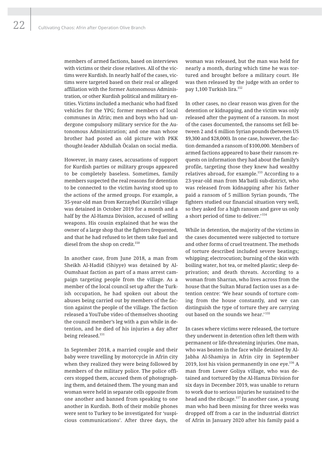22

members of armed factions, based on interviews with victims or their close relatives. All of the victims were Kurdish. In nearly half of the cases, victims were targeted based on their real or alleged affiliation with the former Autonomous Administration, or other Kurdish political and military entities. Victims included a mechanic who had fixed vehicles for the YPG; former members of local communes in Afrin; men and boys who had undergone compulsory military service for the Autonomous Administration; and one man whose brother had posted an old picture with PKK thought-leader Abdullah Öcalan on social media.

However, in many cases, accusations of support for Kurdish parties or military groups appeared to be completely baseless. Sometimes, family members suspected the real reasons for detention to be connected to the victim having stood up to the actions of the armed groups. For example, a 35-year-old man from Kerzayhel (Kurzile) village was detained in October 2019 for a month and a half by the Al-Hamza Division, accused of selling weapons. His cousin explained that he was the owner of a large shop that the fighters frequented, and that he had refused to let them take fuel and diesel from the shop on credit.<sup>150</sup>

In another case, from June 2018, a man from Sheikh Al-Hadid (Shiyye) was detained by Al-Oumshaat faction as part of a mass arrest campaign targeting people from the village. As a member of the local council set up after the Turkish occupation, he had spoken out about the abuses being carried out by members of the faction against the people of the village. The faction released a YouTube video of themselves shooting the council member's leg with a gun while in detention, and he died of his injuries a day after being released.<sup>151</sup>

In September 2018, a married couple and their baby were travelling by motorcycle in Afrin city when they realized they were being followed by members of the military police. The police officers stopped them, accused them of photographing them, and detained them. The young man and woman were held in separate cells opposite from one another and banned from speaking to one another in Kurdish. Both of their mobile phones were sent to Turkey to be investigated for 'suspicious communications'. After three days, the

woman was released, but the man was held for nearly a month, during which time he was tortured and brought before a military court. He was then released by the judge with an order to pay 1,100 Turkish lira.<sup>152</sup>

In other cases, no clear reason was given for the detention or kidnapping, and the victim was only released after the payment of a ransom. In most of the cases documented, the ransoms set fell between 2 and 6 million Syrian pounds (between US \$9,300 and \$28,000). In one case, however, the faction demanded a ransom of \$100,000. Members of armed factions appeared to base their ransom requests on information they had about the family's profile, targeting those they knew had wealthy relatives abroad, for example.<sup>153</sup> According to a 23-year-old man from Ma'batli sub-district, who was released from kidnapping after his father paid a ransom of 5 million Syrian pounds, 'The fighters studied our financial situation very well, so they asked for a high ransom and gave us only a short period of time to deliver.'<sup>154</sup>

While in detention, the majority of the victims in the cases documented were subjected to torture and other forms of cruel treatment. The methods of torture described included severe beatings; whipping; electrocution; burning of the skin with boiling water, hot tea, or melted plastic; sleep deprivation; and death threats. According to a woman from Sharran, who lives across from the house that the Sultan Murad faction uses as a detention centre: 'We hear sounds of torture coming from the house constantly, and we can distinguish the type of torture they are carrying out based on the sounds we hear.'<sup>155</sup>

In cases where victims were released, the torture they underwent in detention often left them with permanent or life-threatening injuries. One man, who was beaten in the face while detained by Al-Jabha Al-Shamiya in Afrin city in September 2019, lost his vision permanently in one eye.<sup>156</sup> A man from Lower Goliya village, who was detained and tortured by the Al-Hamza Division for six days in December 2019, was unable to return to work due to serious injuries he sustained to the head and the ribcage.<sup>157</sup> In another case, a young man who had been missing for three weeks was dropped off from a car in the industrial district of Afrin in January 2020 after his family paid a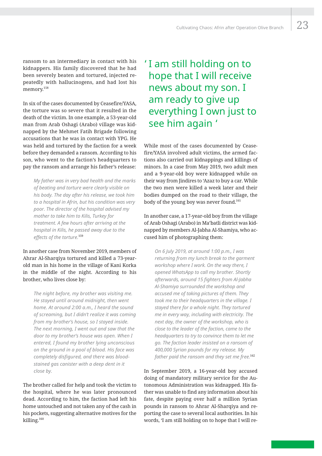ransom to an intermediary in contact with his kidnappers. His family discovered that he had been severely beaten and tortured, injected repeatedly with hallucinogens, and had lost his memory.<sup>158</sup>

In six of the cases documented by Ceasefire/YASA, the torture was so severe that it resulted in the death of the victim. In one example, a 53-year-old man from Arab Oshagi (Arabo) village was kidnapped by the Mehmet Fatih Brigade following accusations that he was in contact with YPG. He was held and tortured by the faction for a week before they demanded a ransom. According to his son, who went to the faction's headquarters to pay the ransom and arrange his father's release:

*My father was in very bad health and the marks of beating and torture were clearly visible on his body. The day after his release, we took him to a hospital in Afrin, but his condition was very poor. The director of the hospital advised my mother to take him to Kilis, Turkey for treatment. A few hours after arriving at the hospital in Kilis, he passed away due to the effects of the torture.*<sup>159</sup>

In another case from November 2019, members of Ahrar Al-Sharqiya tortured and killed a 73-yearold man in his home in the village of Kani Korka in the middle of the night. According to his brother, who lives close by:

*The night before, my brother was visiting me. He stayed until around midnight, then went home. At around 2:00 a.m., I heard the sound of screaming, but I didn't realize it was coming from my brother's house, so I stayed inside. The next morning, I went out and saw that the door to my brother's house was open. When I entered, I found my brother lying unconscious on the ground in a pool of blood. His face was completely disfigured, and there was bloodstained gas canister with a deep dent in it close by.*

The brother called for help and took the victim to the hospital, where he was later pronounced dead. According to him, the faction had left his home untouched and not taken any of the cash in his pockets, suggesting alternative motives for the killing.160

' I am still holding on to hope that I will receive news about my son. I am ready to give up everything I own just to see him again'

While most of the cases documented by Ceasefire/YASA involved adult victims, the armed factions also carried out kidnappings and killings of minors. In a case from May 2019, two adult men and a 9-year-old boy were kidnapped while on their way from Jindires to 'Azaz to buy a car. While the two men were killed a week later and their bodies dumped on the road to their village, the body of the young boy was never found.<sup>161</sup>

In another case, a 17-year-old boy from the village of Arab Oshagi (Arabo) in Ma'batli district was kidnapped by members Al-Jabha Al-Shamiya, who accused him of photographing them:

*On 6 July 2019, at around 1:00 p.m., I was returning from my lunch break to the garment workshop where I work. On the way there, I opened WhatsApp to call my brother. Shortly afterwards, around 15 fighters from Al-Jabha Al-Shamiya surrounded the workshop and accused me of taking pictures of them. They took me to their headquarters in the village. I stayed there for a whole night. They tortured me in every way, including with electricity. The next day, the owner of the workshop, who is close to the leader of the faction, came to the headquarters to try to convince them to let me go. The faction leader insisted on a ransom of 400,000 Syrian pounds for my release. My father paid the ransom and they set me free.*<sup>162</sup>

In September 2019, a 16-year-old boy accused doing of mandatory military service for the Autonomous Administration was kidnapped. His father was unable to find any information about his fate, despite paying over half a million Syrian pounds in ransom to Ahrar Al-Sharqiya and reporting the case to several local authorities. In his words, 'I am still holding on to hope that I will re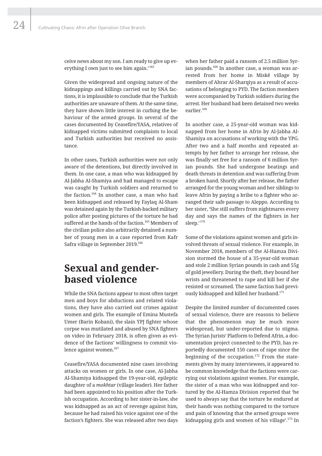ceive news about my son. I am ready to give up everything I own just to see him again.'<sup>163</sup>

Given the widespread and ongoing nature of the kidnappings and killings carried out by SNA factions, it is implausible to conclude that the Turkish authorities are unaware of them. At the same time, they have shown little interest in curbing the behaviour of the armed groups. In several of the cases documented by Ceasefire/YASA, relatives of kidnapped victims submitted complaints to local and Turkish authorities but received no assistance.

In other cases, Turkish authorities were not only aware of the detentions, but directly involved in them. In one case, a man who was kidnapped by Al-Jabha Al-Shamiya and had managed to escape was caught by Turkish soldiers and returned to the faction.<sup>164</sup> In another case, a man who had been kidnapped and released by Faylaq Al-Sham was detained again by the Turkish-backed military police after posting pictures of the torture he had suffered at the hands of the faction.<sup>165</sup> Members of the civilian police also arbitrarily detained a number of young men in a case reported from Kafr Safra village in September 2019.166

## **Sexual and genderbased violence**

While the SNA factions appear to most often target men and boys for abductions and related violations, they have also carried out crimes against women and girls. The example of Emina Mustefa Umer (Barin Kobani), the slain YPJ fighter whose corpse was mutilated and abused by SNA fighters on video in February 2018, is often given as evidence of the factions' willingness to commit violence against women.<sup>167</sup>

Ceasefire/YASA documented nine cases involving attacks on women or girls. In one case, Al-Jabha Al-Shamiya kidnapped the 19-year-old, epileptic daughter of a *mokhtar* (village leader). Her father had been appointed to his position after the Turkish occupation. According to her sister-in-law, she was kidnapped as an act of revenge against him, because he had raised his voice against one of the faction's fighters. She was released after two days when her father paid a ransom of 2.5 million Syrian pounds.<sup>168</sup> In another case, a woman was arrested from her home in Miskê village by members of Ahrar Al-Sharqiya as a result of accusations of belonging to PYD. The faction members were accompanied by Turkish soldiers during the arrest. Her husband had been detained two weeks earlier.169

In another case, a 25-year-old woman was kidnapped from her home in Afrin by Al-Jabha Al-Shamiya on accusations of working with the YPG. After two and a half months and repeated attempts by her father to arrange her release, she was finally set free for a ransom of 6 million Syrian pounds. She had undergone beatings and death threats in detention and was suffering from a broken hand. Shortly after her release, the father arranged for the young woman and her siblings to leave Afrin by paying a bribe to a fighter who arranged their safe passage to Aleppo. According to her sister, 'She still suffers from nightmares every day and says the names of the fighters in her sleep.'<sup>170</sup>

Some of the violations against women and girls involved threats of sexual violence. For example, in November 2018, members of the Al-Hamza Division stormed the house of a 35-year-old woman and stole 2 million Syrian pounds in cash and 55g of gold jewellery. During the theft, they bound her wrists and threatened to rape and kill her if she resisted or screamed. The same faction had previously kidnapped and killed her husband.<sup>171</sup>

Despite the limited number of documented cases of sexual violence, there are reasons to believe that the phenomenon may be much more widespread, but under-reported due to stigma. The Syrian Jurists' Platform to Defend Afrin, a documentation project connected to the PYD, has reportedly documented 150 cases of rape since the beginning of the occupation.<sup>172</sup> From the statements given by many interviewees, it appeared to be common knowledge that the factions were carrying out violations against women. For example, the sister of a man who was kidnapped and tortured by the Al-Hamza Division reported that 'he used to always say that the torture he endured at their hands was nothing compared to the torture and pain of knowing that the armed groups were kidnapping girls and women of his village'.<sup>173</sup> In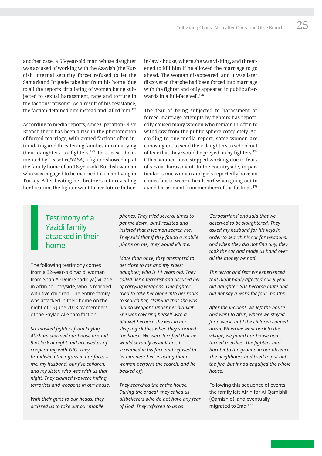another case, a 55-year-old man whose daughter was accused of working with the Asayish (the Kurdish internal security force) refused to let the Samarkand Brigade take her from his home 'due to all the reports circulating of women being subjected to sexual harassment, rape and torture in the factions' prisons'. As a result of his resistance, the faction detained him instead and killed him.174

According to media reports, since Operation Olive Branch there has been a rise in the phenomenon of forced marriage, with armed factions often intimidating and threatening families into marrying their daughters to fighters. $175$  In a case documented by Ceasefire/YASA, a fighter showed up at the family home of an 18-year-old Kurdish woman who was engaged to be married to a man living in Turkey. After beating her brothers into revealing her location, the fighter went to her future fatherin-law's house, where she was visiting, and threatened to kill him if he allowed the marriage to go ahead. The woman disappeared, and it was later discovered that she had been forced into marriage with the fighter and only appeared in public afterwards in a full-face veil.<sup>176</sup>

The fear of being subjected to harassment or forced marriage attempts by fighters has reportedly caused many women who remain in Afrin to withdraw from the public sphere completely. According to one media report, some women are choosing not to send their daughters to school out of fear that they would be preyed on by fighters.<sup>177</sup> Other women have stopped working due to fears of sexual harassment. In the countryside, in particular, some women and girls reportedly have no choice but to wear a headscarf when going out to avoid harassment from members of the factions.178

### Testimony of a Yazidi family attacked in their home

The following testimony comes from a 32-year-old Yazidi woman from Shah Al-Deir (Shadiriya) village in Afrin countryside, who is married with five children. The entire family was attacked in their home on the night of 15 June 2018 by members of the Faylaq Al-Sham faction.

*Six masked fighters from Faylaq Al-Sham stormed our house around 9 o'clock at night and accused us of cooperating with YPG. They brandished their guns in our faces – me, my husband, our five children, and my sister, who was with us that night. They claimed we were hiding terrorists and weapons in our house.*

*With their guns to our heads, they ordered us to take out our mobile*

*phones. They tried several times to pat me down, but I resisted and insisted that a woman search me. They said that if they found a mobile phone on me, they would kill me.*

*More than once, they attempted to get close to me and my eldest daughter, who is 14 years old. They called her a terrorist and accused her of carrying weapons. One fighter tried to take her alone into her room to search her, claiming that she was hiding weapons under her blanket. She was covering herself with a blanket because she was in her sleeping clothes when they stormed the house. We were terrified that he would sexually assault her. I screamed in his face and refused to let him near her, insisting that a woman perform the search, and he backed off.*

*They searched the entire house. During the ordeal, they called us disbelievers who do not have any fear of God. They referred to us as*

*'Zoroastrians' and said that we deserved to be slaughtered. They asked my husband for his keys in order to search his car for weapons, and when they did not find any, they took the car and made us hand over all the money we had.* 

*The terror and fear we experienced that night badly affected our 8-yearold daughter. She became mute and did not say a word for four months.*

*After the incident, we left the house and went to Afrin, where we stayed for a week, until the children calmed down. When we went back to the village, we found our house had turned to ashes. The fighters had burnt it to the ground in our absence. The neighbours had tried to put out the fire, but it had engulfed the whole house.*

Following this sequence of events, the family left Afrin for Al-Qamishli (Qamishlo), and eventually migrated to Iraq.179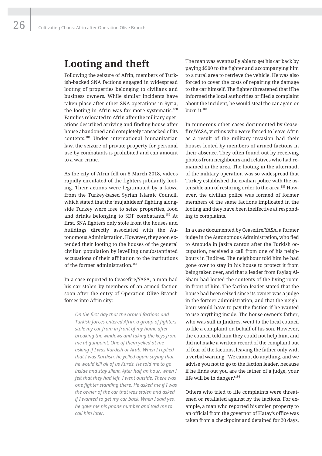### **Looting and theft**

Following the seizure of Afrin, members of Turkish-backed SNA factions engaged in widespread looting of properties belonging to civilians and business owners. While similar incidents have taken place after other SNA operations in Syria, the looting in Afrin was far more systematic.<sup>180</sup> Families relocated to Afrin after the military operations described arriving and finding house after house abandoned and completely ransacked of its contents.<sup>181</sup> Under international humanitarian law, the seizure of private property for personal use by combatants is prohibited and can amount to a war crime.

As the city of Afrin fell on 8 March 2018, videos rapidly circulated of the fighters jubilantly looting. Their actions were legitimated by a fatwa from the Turkey-based Syrian Islamic Council, which stated that the 'mujahideen' fighting alongside Turkey were free to seize properties, food and drinks belonging to SDF combatants.<sup>182</sup> At first, SNA fighters only stole from the houses and buildings directly associated with the Autonomous Administration. However, they soon extended their looting to the houses of the general civilian population by levelling unsubstantiated accusations of their affiliation to the institutions of the former administration.<sup>183</sup>

In a case reported to Ceasefire/YASA, a man had his car stolen by members of an armed faction soon after the entry of Operation Olive Branch forces into Afrin city:

*On the first day that the armed factions and Turkish forces entered Afrin, a group of fighters stole my car from in front of my home after breaking the windows and taking the keys from me at gunpoint. One of them yelled at me asking if I was Kurdish or Arab. When I replied that I was Kurdish, he yelled again saying that he would kill all of us Kurds. He told me to go inside and stay silent. After half an hour, when I felt that they had left, I went outside. There was one fighter standing there. He asked me if I was the owner of the car that was stolen and asked if I wanted to get my car back. When I said yes, he gave me his phone number and told me to call him later.*

The man was eventually able to get his car back by paying \$500 to the fighter and accompanying him to a rural area to retrieve the vehicle. He was also forced to cover the costs of repairing the damage to the car himself. The fighter threatened that if he informed the local authorities or filed a complaint about the incident, he would steal the car again or burn it.184

In numerous other cases documented by Ceasefire/YASA, victims who were forced to leave Afrin as a result of the military invasion had their houses looted by members of armed factions in their absence. They often found out by receiving photos from neighbours and relatives who had remained in the area. The looting in the aftermath of the military operation was so widespread that Turkey established the civilian police with the ostensible aim of restoring order to the area.<sup>185</sup> However, the civilian police was formed of former members of the same factions implicated in the looting and they have been ineffective at responding to complaints.

In a case documented by Ceasefire/YASA, a former judge in the Autonomous Administration, who fled to Amouda in Jazira canton after the Turkish occupation, received a call from one of his neighbours in Jindires. The neighbour told him he had gone over to stay in his house to protect it from being taken over, and that a leader from Faylaq Al-Sham had looted the contents of the living room in front of him. The faction leader stated that the house had been seized since its owner was a judge in the former administration, and that the neighbour would have to pay the faction if he wanted to use anything inside. The house owner's father, who was still in Jindires, went to the local council to file a complaint on behalf of his son. However, the council told him they could not help him, and did not make a written record of the complaint out of fear of the factions, leaving the father only with a verbal warning: 'We cannot do anything, and we advise you not to go to the faction leader, because if he finds out you are the father of a judge, your life will be in danger.'186

Others who tried to file complaints were threatened or retaliated against by the factions. For example, a man who reported his stolen property to an official from the governor of Hatay's office was taken from a checkpoint and detained for 20 days,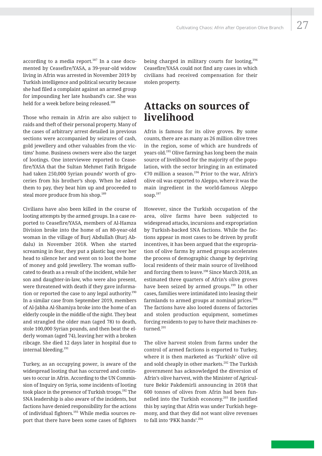according to a media report.<sup>187</sup> In a case documented by Ceasefire/YASA, a 39-year-old widow living in Afrin was arrested in November 2019 by Turkish intelligence and political security because she had filed a complaint against an armed group for impounding her late husband's car. She was held for a week before being released.<sup>188</sup>

Those who remain in Afrin are also subject to raids and theft of their personal property. Many of the cases of arbitrary arrest detailed in previous sections were accompanied by seizures of cash, gold jewellery and other valuables from the victims' home. Business owners were also the target of lootings. One interviewee reported to Ceasefire/YASA that the Sultan Mehmet Fatih Brigade had taken 250,000 Syrian pounds' worth of groceries from his brother's shop. When he asked them to pay, they beat him up and proceeded to steal more produce from his shop.<sup>189</sup>

Civilians have also been killed in the course of looting attempts by the armed groups. In a case reported to Ceasefire/YASA, members of Al-Hamza Division broke into the home of an 80-year-old woman in the village of Burj Abdullah (Burj Abdalu) in November 2018. When she started screaming in fear, they put a plastic bag over her head to silence her and went on to loot the home of money and gold jewellery. The woman suffocated to death as a result of the incident, while her son and daughter-in-law, who were also present, were threatened with death if they gave information or reported the case to any legal authority.<sup>190</sup> In a similar case from September 2019, members of Al-Jabha Al-Shamiya broke into the home of an elderly couple in the middle of the night. They beat and strangled the older man (aged 78) to death, stole 100,000 Syrian pounds, and then beat the elderly woman (aged 74), leaving her with a broken ribcage. She died 12 days later in hospital due to internal bleeding.191

Turkey, as an occupying power, is aware of the widespread looting that has occurred and continues to occur in Afrin. According to the UN Commission of Inquiry on Syria, some incidents of looting took place in the presence of Turkish troops.192 The SNA leadership is also aware of the incidents, but factions have denied responsibility for the actions of individual fighters.<sup>193</sup> While media sources report that there have been some cases of fighters being charged in military courts for looting,<sup>194</sup> Ceasefire/YASA could not find any cases in which civilians had received compensation for their stolen property.

## **Attacks on sources of livelihood**

Afrin is famous for its olive groves. By some counts, there are as many as 26 million olive trees in the region, some of which are hundreds of years old.195 Olive farming has long been the main source of livelihood for the majority of the population, with the sector bringing in an estimated €70 million a season.<sup>196</sup> Prior to the war, Afrin's olive oil was exported to Aleppo, where it was the main ingredient in the world-famous Aleppo soap.<sup>197</sup>

However, since the Turkish occupation of the area, olive farms have been subjected to widespread attacks, incursions and expropriation by Turkish-backed SNA factions. While the factions appear in most cases to be driven by profit incentives, it has been argued that the expropriation of olive farms by armed groups accelerates the process of demographic change by depriving local residents of their main source of livelihood and forcing them to leave.<sup>198</sup> Since March 2018, an estimated three quarters of Afrin's olive groves have been seized by armed groups.<sup>199</sup> In other cases, families were intimidated into leasing their farmlands to armed groups at nominal prices.<sup>200</sup> The factions have also looted dozens of factories and stolen production equipment, sometimes forcing residents to pay to have their machines returned.<sup>201</sup>

The olive harvest stolen from farms under the control of armed factions is exported to Turkey, where it is then marketed as 'Turkish' olive oil and sold cheaply in other markets.<sup>202</sup> The Turkish government has acknowledged the diversion of Afrin's olive harvest, with the Minister of Agriculture Bekir Pakdemirli announcing in 2018 that 600 tonnes of olives from Afrin had been funnelled into the Turkish economy.<sup>203</sup> He justified this by saying that Afrin was under Turkish hegemony, and that they did not want olive revenues to fall into 'PKK hands'.204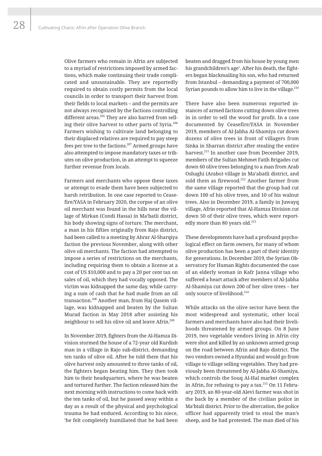Olive farmers who remain in Afrin are subjected to a myriad of restrictions imposed by armed factions, which make continuing their trade complicated and unsustainable. They are reportedly required to obtain costly permits from the local councils in order to transport their harvest from their fields to local markets – and the permits are not always recognized by the factions controlling different areas.<sup>205</sup> They are also barred from selling their olive harvest to other parts of Syria.<sup>206</sup> Farmers wishing to cultivate land belonging to their displaced relatives are required to pay steep fees per tree to the factions.<sup>207</sup> Armed groups have also attempted to impose mandatory taxes or tributes on olive production, in an attempt to squeeze further revenue from locals.

Farmers and merchants who oppose these taxes or attempt to evade them have been subjected to harsh retribution. In one case reported to Ceasefire/YASA in February 2020, the corpse of an olive oil merchant was found in the hills near the village of Mirkan (Condi Hassa) in Ma'batli district, his body showing signs of torture. The merchant, a man in his fifties originally from Rajo district, had been called to a meeting by Ahrar Al-Sharqiya faction the previous November, along with other olive oil merchants. The faction had attempted to impose a series of restrictions on the merchants, including requiring them to obtain a license at a cost of US \$10,000 and to pay a 20 per cent tax on sales of oil, which they had vocally opposed. The victim was kidnapped the same day, while carrying a sum of cash that he had made from an oil transaction.<sup>208</sup> Another man, from Haj Qasem village, was kidnapped and beaten by the Sultan Murad faction in May 2018 after assisting his neighbour to sell his olive oil and leave Afrin.<sup>209</sup>

In November 2019, fighters from the Al-Hamza Division stormed the house of a 72-year old Kurdish man in a village in Rajo sub-district, demanding ten tanks of olive oil. After he told them that his olive harvest only amounted to three tanks of oil, the fighters began beating him. They then took him to their headquarters, where he was beaten and tortured further. The faction released him the next morning with instructions to come back with the ten tanks of oil, but he passed away within a day as a result of the physical and psychological trauma he had endured. According to his niece, 'he felt completely humiliated that he had been beaten and dragged from his house by young men his grandchildren's age'. After his death, the fighters began blackmailing his son, who had returned from Istanbul – demanding a payment of 700,000 Syrian pounds to allow him to live in the village. $210$ 

There have also been numerous reported instances of armed factions cutting down olive trees in in order to sell the wood for profit. In a case documented by Ceasefire/YASA in November 2019, members of Al-Jabha Al-Shamiya cut down dozens of olive trees in front of villagers from Sinka in Sharran district after stealing the entire harvest.<sup>211</sup> In another case from December 2019, members of the Sultan Mehmet Fatih Brigades cut down 60 olive trees belonging to a man from Arab Oshaghi (Arabo) village in Ma'abatli district, and sold them as firewood. $212$  Another farmer from the same village reported that the group had cut down 100 of his olive trees, and 10 of his walnut trees. Also in December 2019, a family in Juwayq village, Afrin reported that Al-Hamza Division cut down 50 of their olive trees, which were reportedly more than 80 years old.<sup>213</sup>

These developments have had a profound psychological effect on farm owners, for many of whom olive production has been a part of their identity for generations. In December 2019, the Syrian Observatory for Human Rights documented the case of an elderly woman in Kafr Janna village who suffered a heart attack after members of Al-Jabha Al-Shamiya cut down 200 of her olive trees – her only source of livelihood.<sup>214</sup>

While attacks on the olive sector have been the most widespread and systematic, other local farmers and merchants have also had their livelihoods threatened by armed groups. On 8 June 2019, two vegetable vendors living in Afrin city were shot and killed by an unknown armed group on the road between Afrin and Rajo district. The two vendors owned a Hyundai and would go from village to village selling vegetables. They had previously been threatened by Al-Jabha Al-Shamiya, which controls the Souq Al-Hal market complex in Afrin, for refusing to pay a tax.<sup>215</sup> On 11 February 2019, an 80-year-old Alevi farmer was shot in the back by a member of the civilian police in Ma'btali district. Prior to the altercation, the police officer had apparently tried to steal the man's sheep, and he had protested. The man died of his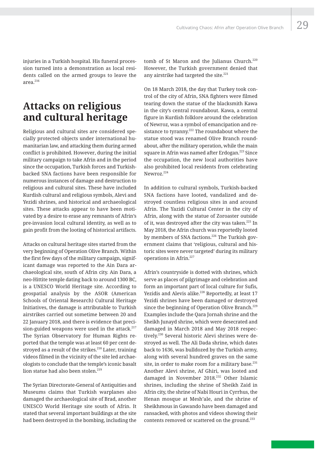injuries in a Turkish hospital. His funeral procession turned into a demonstration as local residents called on the armed groups to leave the area $216$ 

## **Attacks on religious and cultural heritage**

Religious and cultural sites are considered specially protected objects under international humanitarian law, and attacking them during armed conflict is prohibited. However, during the initial military campaign to take Afrin and in the period since the occupation, Turkish forces and Turkishbacked SNA factions have been responsible for numerous instances of damage and destruction to religious and cultural sites. These have included Kurdish cultural and religious symbols, Alevi and Yezidi shrines, and historical and archaeological sites. These attacks appear to have been motivated by a desire to erase any remnants of Afrin's pre-invasion local cultural identity, as well as to gain profit from the looting of historical artifacts.

Attacks on cultural heritage sites started from the very beginning of Operation Olive Branch. Within the first few days of the military campaign, significant damage was reported to the Ain Dara archaeological site, south of Afrin city. Ain Dara, a neo-Hittite temple dating back to around 1300 BC, is a UNESCO World Heritage site. According to geospatial analysis by the ASOR (American Schools of Oriental Research) Cultural Heritage Initiatives, the damage is attributable to Turkish airstrikes carried out sometime between 20 and 22 January 2018, and there is evidence that precision-guided weapons were used in the attack. $217$ The Syrian Observatory for Human Rights reported that the temple was at least 60 per cent destroyed as a result of the strikes.<sup>218</sup> Later, training videos filmed in the vicinity of the site led archaeologists to conclude that the temple's iconic basalt lion statue had also been stolen.<sup>219</sup>

The Syrian Directorate-General of Antiquities and Museums claims that Turkish warplanes also damaged the archaeological site of Brad, another UNESCO World Heritage site south of Afrin. It stated that several important buildings at the site had been destroyed in the bombing, including the tomb of St Maron and the Julianus Church.<sup>220</sup> However, the Turkish government denied that any airstrike had targeted the site. $221$ 

On 18 March 2018, the day that Turkey took control of the city of Afrin, SNA fighters were filmed tearing down the statue of the blacksmith Kawa in the city's central roundabout. Kawa, a central figure in Kurdish folklore around the celebration of Newroz, was a symbol of emancipation and resistance to tyranny.<sup>222</sup> The roundabout where the statue stood was renamed Olive Branch roundabout, after the military operation, while the main square in Afrin was named after Erdogan.<sup>223</sup> Since the occupation, the new local authorities have also prohibited local residents from celebrating Newroz.<sup>224</sup>

In addition to cultural symbols, Turkish-backed SNA factions have looted, vandalized and destroyed countless religious sites in and around Afrin. The Yazidi Cultural Center in the city of Afrin, along with the statue of Zoroaster outside of it, was destroyed after the city was taken.<sup>225</sup> In May 2018, the Afrin church was reportedly looted by members of SNA factions.<sup>226</sup> The Turkish government claims that 'religious, cultural and historic sites were never targeted' during its military operations in Afrin.<sup>227</sup>

Afrin's countryside is dotted with shrines, which serve as places of pilgrimage and celebration and form an important part of local culture for Sufis, Yezidis and Alevis alike.<sup>228</sup> Reportedly, at least 17 Yezidi shrines have been damaged or destroyed since the beginning of Operation Olive Branch.<sup>229</sup> Examples include the Qara Jornah shrine and the Sheikh Junayd shrine, which were desecrated and damaged in March 2018 and May 2018 respectively.<sup>230</sup> Several historic Alevi shrines were destroyed as well. The Ali Dada shrine, which dates back to 1636, was bulldozed by the Turkish army, along with several hundred graves on the same site, in order to make room for a military base.<sup>231</sup> Another Alevi shrine, Af Ghiri, was looted and damaged in November 2018.<sup>232</sup> Other Islamic shrines, including the shrine of Sheikh Zaid in Afrin city, the shrine of Nabi Houri in Cyrrhus, the Henan mosque at Mesh'ale, and the shrine of Sheikhmous in Gawando have been damaged and ransacked, with photos and videos showing their contents removed or scattered on the ground.<sup>233</sup>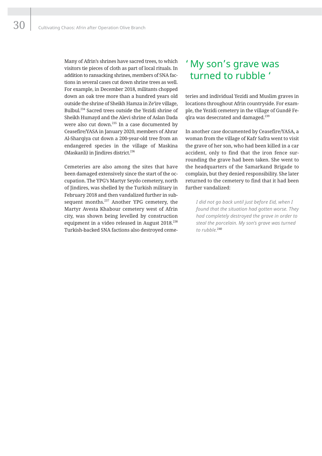Many of Afrin's shrines have sacred trees, to which visitors tie pieces of cloth as part of local rituals. In addition to ransacking shrines, members of SNA factions in several cases cut down shrine trees as well. For example, in December 2018, militants chopped down an oak tree more than a hundred years old outside the shrine of Sheikh Hamza in Ze'ire village, Bulbul.234 Sacred trees outside the Yezidi shrine of Sheikh Humayd and the Alevi shrine of Aslan Dada were also cut down.<sup>235</sup> In a case documented by Ceasefire/YASA in January 2020, members of Ahrar Al-Sharqiya cut down a 200-year-old tree from an endangered species in the village of Maskina (Maskanli) in Jindires district.<sup>236</sup>

Cemeteries are also among the sites that have been damaged extensively since the start of the occupation. The YPG's Martyr Seydo cemetery, north of Jindires, was shelled by the Turkish military in February 2018 and then vandalized further in subsequent months.<sup>237</sup> Another YPG cemetery, the Martyr Avesta Khabour cemetery west of Afrin city, was shown being levelled by construction equipment in a video released in August 2018.<sup>238</sup> Turkish-backed SNA factions also destroyed ceme-

## ' My son's grave was turned to rubble'

teries and individual Yezidi and Muslim graves in locations throughout Afrin countryside. For example, the Yezidi cemetery in the village of Gundê Feqîra was desecrated and damaged.<sup>239</sup>

In another case documented by Ceasefire/YASA, a woman from the village of Kafr Safra went to visit the grave of her son, who had been killed in a car accident, only to find that the iron fence surrounding the grave had been taken. She went to the headquarters of the Samarkand Brigade to complain, but they denied responsibility. She later returned to the cemetery to find that it had been further vandalized:

*I did not go back until just before Eid, when I found that the situation had gotten worse. They had completely destroyed the grave in order to steal the porcelain. My son's grave was turned to rubble.*<sup>240</sup>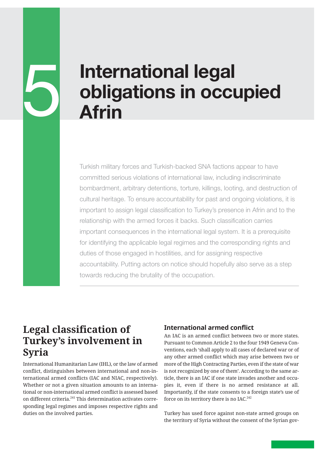## **International legal obligations in occupied Afrin**

Turkish military forces and Turkish-backed SNA factions appear to have committed serious violations of international law, including indiscriminate bombardment, arbitrary detentions, torture, killings, looting, and destruction of cultural heritage. To ensure accountability for past and ongoing violations, it is important to assign legal classification to Turkey's presence in Afrin and to the relationship with the armed forces it backs. Such classification carries important consequences in the international legal system. It is a prerequisite for identifying the applicable legal regimes and the corresponding rights and duties of those engaged in hostilities, and for assigning respective accountability. Putting actors on notice should hopefully also serve as a step towards reducing the brutality of the occupation.

## **Legal classification of Turkey's involvement in Syria**

5

International Humanitarian Law (IHL), or the law of armed conflict, distinguishes between international and non-international armed conflicts (IAC and NIAC, respectively). Whether or not a given situation amounts to an international or non-international armed conflict is assessed based on different criteria.<sup>241</sup> This determination activates corresponding legal regimes and imposes respective rights and duties on the involved parties.

#### **International armed conflict**

An IAC is an armed conflict between two or more states. Pursuant to Common Article 2 to the four 1949 Geneva Conventions, each 'shall apply to all cases of declared war or of any other armed conflict which may arise between two or more of the High Contracting Parties, even if the state of war is not recognized by one of them'. According to the same article, there is an IAC if one state invades another and occupies it, even if there is no armed resistance at all. Importantly, if the state consents to a foreign state's use of force on its territory there is no IAC. $242$ 

Turkey has used force against non-state armed groups on the territory of Syria without the consent of the Syrian gov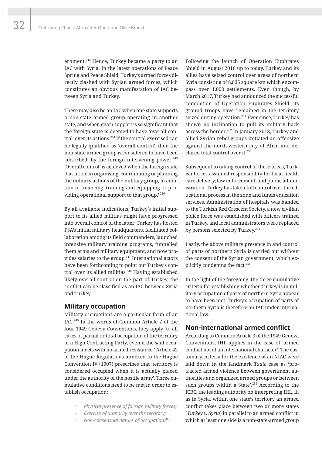ernment.<sup>243</sup> Hence, Turkey became a party to an IAC with Syria. In the latest operations of Peace Spring and Peace Shield, Turkey's armed forces directly clashed with Syrian armed forces, which constitutes an obvious manifestation of IAC between Syria and Turkey.

There may also be an IAC when one state supports a non-state armed group operating in another state, and when given support is so significant that the foreign state is deemed to have 'overall control' over its actions.<sup>244</sup> If the control exercised can be legally qualified as 'overall control', then the non-state armed group is considered to have been 'absorbed' by the foreign intervening power. $245$ 'Overall control' is achieved when the foreign state 'has a role in organising, coordinating or planning the military actions of the military group, in addition to financing, training and equipping or providing operational support to that group.' <sup>246</sup>

By all available indications, Turkey's initial support to its allied militias might have progressed into overall control of the latter. Turkey has hosted FSA's initial military headquarters, facilitated collaboration among its field commanders, launched intensive military training programs, funnelled them arms and military equipment, and now provides salaries to the group.<sup>247</sup> International actors have been forthcoming to point out Turkey's control over its allied militias.<sup>248</sup> Having established likely overall control on the part of Turkey, the conflict can be classified as an IAC between Syria and Turkey.

#### **Military occupation**

Military occupations are a particular form of an IAC.<sup>249</sup> In the words of Common Article 2 of the four 1949 Geneva Conventions, they apply 'to all cases of partial or total occupation of the territory of a High Contracting Party, even if the said occupation meets with no armed resistance.' Article 42 of the Hague Regulations annexed to the Hague Convention IV (1907) prescribes that 'territory is considered occupied when it is actually placed under the authority of the hostile army'. Three cumulative conditions need to be met in order to establish occupation:

- *Physical presence of foreign military forces;*
- *Exercise of authority over the territory;*
- *Non-consensual nature of occupation.*<sup>250</sup>

Following the launch of Operation Euphrates Shield in August 2016 up to today, Turkey and its allies have seized control over areas of northern Syria consisting of 8,835 square km which encompass over 1,000 settlements. Even though, by March 2017, Turkey had announced the successful completion of Operation Euphrates Shield, its ground troops have remained in the territory seized during operation.<sup>251</sup> Ever since, Turkey has shown no inclination to pull its military back across the border.<sup>252</sup> In January 2018, Turkey and allied Syrian rebel groups initiated an offensive against the north-western city of Afrin and declared total control over it.<sup>253</sup>

Subsequent to taking control of these areas, Turkish forces assumed responsibility for local health care delivery, law enforcement, and public administration. Turkey has taken full control over the educational process in the zone and funds education services. Administration of hospitals was handed to the Turkish Red Crescent Society, a new civilian police force was established with officers trained in Turkey, and local administrators were replaced by persons selected by Turkey.<sup>254</sup>

Lastly, the above military presence in and control of parts of northern Syria is carried out without the consent of the Syrian government, which explicitly condemns the fact.<sup>255</sup>

In the light of the foregoing, the three cumulative criteria for establishing whether Turkey is in military occupation of parts of northern Syria appear to have been met. Turkey's occupation of parts of northern Syria is therefore an IAC under international law.

#### **Non-international armed conflict**

According to Common Article 3 of the 1949 Geneva Conventions, IHL applies in the case of 'armed conflict not of an international character'. The customary criteria for the existence of an NIAC were laid down in the landmark *Tadic* case as 'protracted armed violence between government authorities and organized armed groups or between such groups within a State'.<sup>256</sup> According to the ICRC, the leading authority on interpreting IHL, if, as in Syria, within one state's territory an armed conflict takes place between two or more states (*Turkey v. Syria*) in parallel to an armed conflict in which at least one side is a non-state-armed group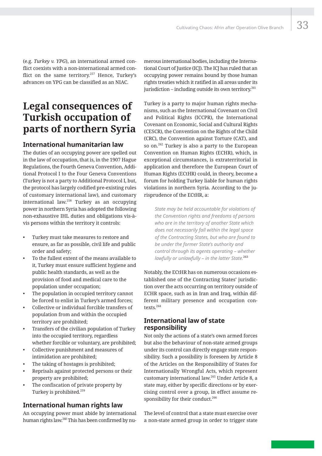(e.g. *Turkey v. YPG*), an international armed conflict coexists with a non-international armed conflict on the same territory.<sup>257</sup> Hence, Turkey's advances on YPG can be classified as an NIAC.

## **Legal consequences of Turkish occupation of parts of northern Syria**

#### **International humanitarian law**

The duties of an occupying power are spelled out in the law of occupation, that is, in the 1907 Hague Regulations, the Fourth Geneva Convention, Additional Protocol I to the Four Geneva Conventions (Turkey is not a party to Additional Protocol I, but, the protocol has largely codified pre-existing rules of customary international law), and customary international law. $258$  Turkey as an occupying power in northern Syria has adopted the following non-exhaustive IHL duties and obligations vis-à vis persons within the territory it controls:

- Turkey must take measures to restore and ensure, as far as possible, civil life and public order and safety;
- To the fullest extent of the means available to it, Turkey must ensure sufficient hygiene and public health standards, as well as the provision of food and medical care to the population under occupation;
- The population in occupied territory cannot be forced to enlist in Turkey's armed forces;
- Collective or individual forcible transfers of population from and within the occupied territory are prohibited;
- Transfers of the civilian population of Turkey into the occupied territory, regardless whether forcible or voluntary, are prohibited;
- Collective punishment and measures of intimidation are prohibited;
- The taking of hostages is prohibited;
- Reprisals against protected persons or their property are prohibited;
- The confiscation of private property by Turkey is prohibited.<sup>259</sup>

### **International human rights law**

An occupying power must abide by international human rights law.260 This has been confirmed by numerous international bodies, including the International Court of Justice (ICJ). The ICJ has ruled that an occupying power remains bound by those human rights treaties which it ratified in all areas under its jurisdiction – including outside its own territory. $261$ 

Turkey is a party to major human rights mechanisms, such as the International Covenant on Civil and Political Rights (ICCPR), the International Covenant on Economic, Social and Cultural Rights (CESCR), the Convention on the Rights of the Child (CRC), the Convention against Torture (CAT), and so on.<sup>262</sup> Turkey is also a party to the European Convention on Human Rights (ECHR), which, in exceptional circumstances, is extraterritorial in application and therefore the European Court of Human Rights (ECtHR) could, in theory, become a forum for holding Turkey liable for human rights violations in northern Syria. According to the jurisprudence of the ECtHR, a:

*State may be held accountable for violations of the Convention rights and freedoms of persons who are in the territory of another State which does not necessarily fall within the legal space of the Contracting States, but who are found to be under the former State's authority and control through its agents operating – whether lawfully or unlawfully – in the latter State.*<sup>263</sup>

Notably, the ECtHR has on numerous occasions established one of the Contracting States' jurisdiction over the acts occurring on territory outside of ECHR space, such as in Iran and Iraq, within different military presence and occupation contexts.264

#### **International law of state responsibility**

Not only the actions of a state's own armed forces but also the behaviour of non-state armed groups under its control can directly engage state responsibility. Such a possibility is foreseen by Article 8 of the Articles on the Responsibility of States for Internationally Wrongful Acts, which represent customary international law.265 Under Article 8, a state may, either by specific directions or by exercising control over a group, in effect assume responsibility for their conduct.<sup>266</sup>

The level of control that a state must exercise over a non-state armed group in order to trigger state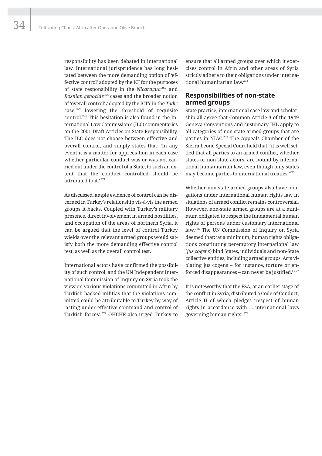responsibility has been debated in international law. International jurisprudence has long hesitated between the more demanding option of 'effective control' adopted by the ICJ for the purposes of state responsibility in the *Nicaragua* <sup>267</sup> and *Bosnian genocide*<sup>268</sup> cases and the broader notion of 'overall control' adopted by the ICTY in the *Tadic* case,<sup>269</sup> lowering the threshold of requisite control.<sup>270</sup> This hesitation is also found in the International Law Commission's (ILC) commentaries on the 2001 Draft Articles on State Responsibility. The ILC does not choose between effective and overall control, and simply states that: 'In any event it is a matter for appreciation in each case whether particular conduct was or was not carried out under the control of a State, to such an extent that the conduct controlled should be attributed to it.'<sup>271</sup>

As discussed, ample evidence of control can be discerned in Turkey's relationship vis-à-vis the armed groups it backs. Coupled with Turkey's military presence, direct involvement in armed hostilities, and occupation of the areas of northern Syria, it can be argued that the level of control Turkey wields over the relevant armed groups would satisfy both the more demanding effective control test, as well as the overall control test.

International actors have confirmed the possibility of such control, and the UN Independent International Commission of Inquiry on Syria took the view on various violations committed in Afrin by Turkish-backed militias that the violations committed could be attributable to Turkey by way of 'acting under effective command and control of Turkish forces'.<sup>272</sup> OHCHR also urged Turkey to ensure that all armed groups over which it exercises control in Afrin and other areas of Syria strictly adhere to their obligations under international humanitarian law.273

#### **Responsibilities of non-state armed groups**

State practice, international case law and scholarship all agree that Common Article 3 of the 1949 Geneva Conventions and customary IHL apply to all categories of non-state armed groups that are parties in NIAC.<sup>274</sup> The Appeals Chamber of the Sierra Leone Special Court held that: 'it is well settled that all parties to an armed conflict, whether states or non-state actors, are bound by international humanitarian law, even though only states may become parties to international treaties.'275

Whether non-state armed groups also have obligations under international human rights law in situations of armed conflict remains controversial. However, non-state armed groups are at a minimum obligated to respect the fundamental human rights of persons under customary international law.<sup>276</sup> The UN Commission of Inquiry on Syria deemed that: 'at a minimum, human rights obligations constituting peremptory international law (*jus cogens*) bind States, individuals and non-State collective entities, including armed groups. Acts violating jus cogens – for instance, torture or enforced disappearances – can never be justified.<sup>' 277</sup>

It is noteworthy that the FSA, at an earlier stage of the conflict in Syria, distributed a Code of Conduct, Article II of which pledges 'respect of human rights in accordance with … international laws governing human rights'.278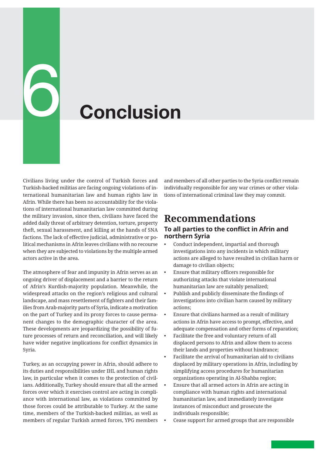## 6 **Conclusion**

Civilians living under the control of Turkish forces and Turkish-backed militias are facing ongoing violations of international humanitarian law and human rights law in Afrin. While there has been no accountability for the violations of international humanitarian law committed during the military invasion, since then, civilians have faced the added daily threat of arbitrary detention, torture, property theft, sexual harassment, and killing at the hands of SNA factions. The lack of effective judicial, administrative or political mechanisms in Afrin leaves civilians with no recourse when they are subjected to violations by the multiple armed actors active in the area.

The atmosphere of fear and impunity in Afrin serves as an ongoing driver of displacement and a barrier to the return of Afrin's Kurdish-majority population. Meanwhile, the widespread attacks on the region's religious and cultural landscape, and mass resettlement of fighters and their families from Arab-majority parts of Syria, indicate a motivation on the part of Turkey and its proxy forces to cause permanent changes to the demographic character of the area. These developments are jeopardizing the possibility of future processes of return and reconciliation, and will likely have wider negative implications for conflict dynamics in Syria.

Turkey, as an occupying power in Afrin, should adhere to its duties and responsibilities under IHL and human rights law, in particular when it comes to the protection of civilians. Additionally, Turkey should ensure that all the armed forces over which it exercises control are acting in compliance with international law, as violations committed by those forces could be attributable to Turkey. At the same time, members of the Turkish-backed militias, as well as members of regular Turkish armed forces, YPG members

and members of all other parties to the Syria conflict remain individually responsible for any war crimes or other violations of international criminal law they may commit.

### **Recommendations To all parties to the conflict in Afrin and northern Syria**

- Conduct independent, impartial and thorough investigations into any incidents in which military actions are alleged to have resulted in civilian harm or damage to civilian objects;
- Ensure that military officers responsible for authorizing attacks that violate international humanitarian law are suitably penalized;
- Publish and publicly disseminate the findings of investigations into civilian harm caused by military actions;
- Ensure that civilians harmed as a result of military actions in Afrin have access to prompt, effective, and adequate compensation and other forms of reparation;
- Facilitate the free and voluntary return of all displaced persons to Afrin and allow them to access their lands and properties without hindrance;
- Facilitate the arrival of humanitarian aid to civilians displaced by military operations in Afrin, including by simplifying access procedures for humanitarian organizations operating in Al-Shahba region;
- Ensure that all armed actors in Afrin are acting in compliance with human rights and international humanitarian law, and immediately investigate instances of misconduct and prosecute the individuals responsible;
- Cease support for armed groups that are responsible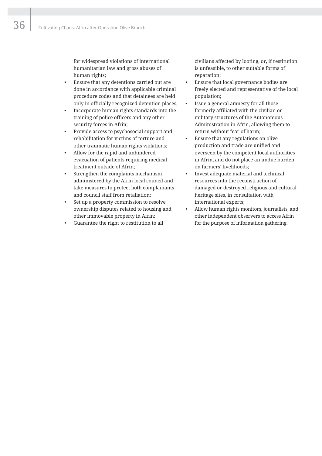for widespread violations of international humanitarian law and gross abuses of human rights;

- Ensure that any detentions carried out are done in accordance with applicable criminal procedure codes and that detainees are held only in officially recognized detention places;
- Incorporate human rights standards into the training of police officers and any other security forces in Afrin;
- Provide access to psychosocial support and rehabilitation for victims of torture and other traumatic human rights violations;
- Allow for the rapid and unhindered evacuation of patients requiring medical treatment outside of Afrin;
- Strengthen the complaints mechanism administered by the Afrin local council and take measures to protect both complainants and council staff from retaliation;
- Set up a property commission to resolve ownership disputes related to housing and other immovable property in Afrin;
- Guarantee the right to restitution to all

civilians affected by looting, or, if restitution is unfeasible, to other suitable forms of reparation;

- Ensure that local governance bodies are freely elected and representative of the local population;
- Issue a general amnesty for all those formerly affiliated with the civilian or military structures of the Autonomous Administration in Afrin, allowing them to return without fear of harm;
- Ensure that any regulations on olive production and trade are unified and overseen by the competent local authorities in Afrin, and do not place an undue burden on farmers' livelihoods;
- Invest adequate material and technical resources into the reconstruction of damaged or destroyed religious and cultural heritage sites, in consultation with international experts;
- Allow human rights monitors, journalists, and other independent observers to access Afrin for the purpose of information gathering.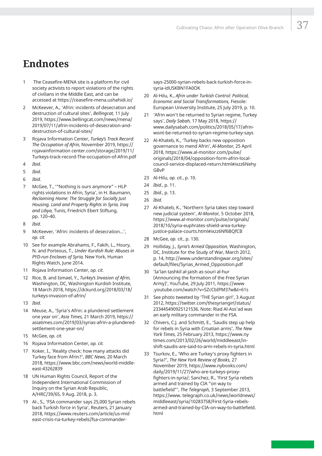## **Endnotes**

- 1 The Ceasefire-MENA site is a platform for civil society activists to report violations of the rights of civilians in the Middle East, and can be accessed at https://ceasefire-mena.ushahidi.io/
- 2 McKeever, A., 'Afrin: incidents of desecration and destruction of cultural sites', *Bellingcat,* 11 July 2019, https://www.bellingcat.com/news/mena/ 2019/07/11/afrin-incidents-of-desecration-anddestruction-of-cultural-sites/
- 3 Rojava Information Center, *Turkey's Track Record: The Occupation of Afrin,* November 2019, https:// rojavainformation center.com/storage/2019/11/ Turkeys-track-record-The-occupation-of-Afrin.pdf
- 4 *Ibid.*
- 5 *Ibid.*
- 6 *Ibid.*
- 7 McGee, T., '"Nothing is ours anymore" HLP rights violations in Afrin, Syria', in H. Baumann, *Reclaiming Home: The Struggle for Socially Just Housing, Land and Property Rights in Syria, Iraq and Libya,* Tunis, Friedrich Ebert Stiftung, pp. 120–40.
- 8 *Ibid.*
- 9 McKeever, 'Afrin: incidents of desecration…', *op. cit.*
- 10 See for example Abrahams, F., Fakih, L., Houry, N. and Porteous, T., *Under Kurdish Rule: Abuses in PYD-run Enclaves of Syria,* New York, Human Rights Watch, June 2014.
- 11 Rojava Information Center, *op. cit.*
- 12 Rice, B. and Ismael, Y., *Turkey's Invasion of Afrin,* Washington, DC, Washington Kurdish Institute, 18 March 2018, https://dckurd.org/2018/03/18/ turkeys-invasion-of-afrin/
- 13 *Ibid.*
- 14 Meuse, A., 'Syria's Afrin: a plundered settlement one year on', *Asia Times,* 21 March 2019, https:// asiatimes.com/2019/03/syrias-afrin-a-plunderedsettlement-one-year-on/
- 15 McGee, *op. cit.*
- 16 Rojava Information Center, *op. cit.*
- 17 Koker, I., 'Reality check: how many attacks did Turkey face from Afrin?', *BBC News,* 20 March 2018, https://www.bbc.com/news/world-middleeast-43262839
- 18 UN Human Rights Council, Report of the Independent International Commission of Inquiry on the Syrian Arab Republic, A/HRC/39/65, 9 Aug. 2018, p. 3.
- 19 Al-, S., 'FSA commander says 25,000 Syrian rebels back Turkish force in Syria', Reuters, 21 January 2018, https://www.reuters.com/article/us-mid east-crisis-ria-turkey-rebels/fsa-commander-

says-25000-syrian-rebels-back-turkish-force-insyria-idUSKBN1FA0OK

- 20 Al-Hilu, K., *Afrin under Turkish Control: Political, Economic and Social Transformations,* Fiesole: European University Institute, 25 July 2019, p. 10.
- 21 'Afrin won't be returned to Syrian regime, Turkey says', *Daily Sabah,* 17 May 2018, https:// www.dailysabah.com/politics/2018/05/17/afrinwont-be-returned-to-syrian-regime-turkey-says
- 22 Al-Khateb, K., 'Turkey backs new opposition governance to mend Afrin', *Al-Monitor,* 25 April 2018, https://www.al-monitor.com/pulse/ originals/2018/04/opposition-form-afrin-localcouncil-service-displaced-return.html#ixzz6Nehy GBvP
- 23 Al-Hilu, *op. cit.*, p. 10.
- 24 *Ibid.*, p. 11.
- 25 *Ibid.*, p. 13.
- 26 *Ibid.*
- 27 Al-Khateb, K., 'Northern Syria takes step toward new judicial system', *Al-Monitor,* 5 October 2018, https://www.al-monitor.com/pulse/originals/ 2018/10/syria-euphrates-shield-area-turkeyjustice-palace-courts.html#ixzz6Nf6BQfCB
- 28 McGee, *op. cit.*, p. 130.
- 29 Holliday, J., *Syria's Armed Opposition,* Washington, DC, Institute for the Study of War, March 2012, p. 14, http://www.understandingwar.org/sites/ default/files/Syrias\_Armed\_Opposition.pdf
- 30 'Ia'lan tashkil al-jaish as-souri al-hur (Announcing the formation of the Free Syrian Army)', YouTube, 29 July 2011, https://www .youtube.com/watch?v=SZcCbIPM37w&t=61s
- 31 See photo tweeted by 'THE Syrian girl', 3 August 2012, https://twitter.com/thesyriangirl/status/ 233445490925121536. Note: Riad Al-Ass'ad was an early military commander in the FSA.
- 32 Chivers, C.J. and Schmitt, E., 'Saudis step up help for rebels in Syria with Croatian arms', *The New York Times,* 25 February 2013, https://www.ny times.com/2013/02/26/world/middleeast/inshift-saudis-are-said-to-arm-rebels-in-syria.html
- 33 Tsurkov, E., 'Who are Turkey's proxy fighters in Syria?', *The New York Review of Books,* 27 November 2019, https://www.nybooks.com/ daily/2019/11/27/who-are-turkeys-proxyfighters-in-syria/; Sanchez, R., 'First Syria rebels armed and trained by CIA "on way to battlefield"', *The Telegraph,* 3 September 2013, https://www. telegraph.co.uk/news/worldnews/ middleeast/syria/10283758/First-Syria-rebelsarmed-and-trained-by-CIA-on-way-to-battlefield. html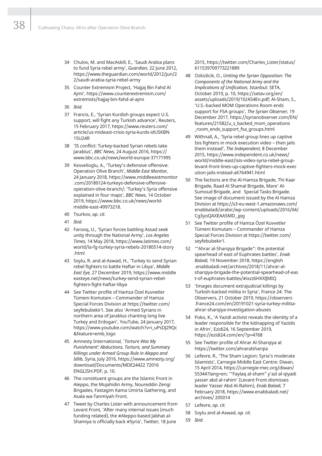- 34 Chulov, M. and MacAskill, E., 'Saudi Arabia plans to fund Syria rebel army', *Guardian,* 22 June 2012, https://www.theguardian.com/world/2012/jun/2 2/saudi-arabia-syria-rebel-army
- 35 Counter Extremism Project, 'Hajjaj Bin Fahd Al Ajmi', https://www.counterextremism.com/ extremists/hajjaj-bin-fahd-al-ajmi
- 36 *Ibid.*
- 37 Francis, E., 'Syrian Kurdish groups expect U.S. support, will fight any Turkish advance', Reuters, 15 February 2017, https://www.reuters.com/ article/us-mideast-crisis-syria-kurds-idUSKBN 15U24R
- 38 'IS conflict: Turkey-backed Syrian rebels take Jarablus', *BBC News,* 24 August 2016, https:// www.bbc.co.uk/news/world-europe-37171995
- 39 Kesvelioglu, A., 'Turkey's defensive offensive: Operation Olive Branch', *Middle East Monitor,* 24 January 2018, https://www.middleeastmonitor .com/20180124-turkeys-defensive-offensiveoperation-olive-branch/; 'Turkey's Syria offensive explained in four maps', *BBC News,* 14 October 2019, https://www.bbc.co.uk/news/worldmiddle-east-49973218.
- 40 Tsurkov, *op. cit.*
- 41 *Ibid.*
- 42 Farooq, U., 'Syrian forces battling Assad seek unity through the National Army', *Los Angeles Times,* 14 May 2018, https://www.latimes.com/ world/la-fg-turkey-syria-rebels-20180514-story .html
- 43 Soylu, R. and al-Aswad, H., 'Turkey to send Syrian rebel fighters to battle Haftar in Libya', *Middle East Eye,* 27 December 2019, https://www.middle easteye.net/news/turkey-send-syrian-rebelfighters-fight-haftar-libya
- 44 See Twitter profile of Hamza Özel Kuvvetler Tümeni Komutanı – Commander of Hamza Special Forces Division at https://twitter.com/ seyfebubekir1. See also 'Armed Syrians in northern area of Jarablus chanting long live Turkey and Erdogan', YouTube, 24 January 2017, https://www.youtube.com/watch?v=i\_uPsDJ29Qc &feature=emb\_logo
- 45 Amnesty International, '*Torture Was My Punishment': Abductions, Torture, and Summary Killings under Armed Group Rule in Aleppo and Idlib*, Syria, July 2016, https://www.amnesty.org/ download/Documents/MDE24422 72016 ENGLISH.PDF, p. 10.
- 46 The constituent groups are the Islamic Front in Aleppo, the Mujahidin Army, Noureddin Zengi Brigades, Fastagim Kama Umirta Gathering, and Asala wa-Tanmiyah Front.
- 47 Tweet by Charles Lister with announcement from Levant Front, 'After many internal issues (much funding related), the #Aleppo-based Jabhat al-Shamiya is officially back #Syria', Twitter, 18 June

2015, https://twitter.com/Charles\_Lister/status/ 611539709773221889

- 48 Ozkizilcik, O., *Uniting the Syrian Opposition: The Components of the National Army and the Implications of Unification,* Istanbul: SETA, October 2019, p. 10, https://setav.org/en/ assets/uploads/2019/10/A54En.pdf; Al-Sham, S., 'U.S.-backed MOM Operations Room ends support for FSA groups', *The Syrian Observer,* 19 December 2017, https://syrianobserver.com/EN/ features/21582/u\_s\_backed\_mom\_operations \_room\_ends\_support\_fsa\_groups.html
- 49 Withnall, A., 'Syria rebel group lines up captive Isis fighters in mock execution video – then jails them instead', *The Independent,* 8 December 2015, https://www.independent.co.uk/news/ world/middle-east/isis-video-syria-rebel-grouplevant-front-lines-up-captive-fighters-mock-exec ution-jails-instead-a6764941.html
- 50 The factions are the Al-Hamza Brigade, Thi Kaar Brigade, Raad Al Shamal Brigade, Mare' Al-Sumoud Brigade, and Special Tasks Brigade. See image of document issued by the Al Hamza Division at https://s3-eu-west-1.amazonaws.com/ enabbaladi/arabic/wp-content/uploads/2016/04/ Cg3yoQAXEAA5MD\_.jpg
- 51 See Twitter profile of Hamza Özel Kuvvetler Tümeni Komutanı – Commander of Hamza Special Forces Division at https://twitter.com/ seyfebubekir1.
- 52 '"Ahrar al-Sharqiya Brigade": the potential spearhead of east of Euphrates battles', *Enab Baladi,* 19 November 2018, https://english .enabbaladi.net/archives/2018/11/ahrar-alsharqiya-brigade-the-potential-spearhead-of-eas t-of-euphrates-battles/#ixzz6HXXlJMIQ
- 53 'Images document extrajudicial killings by Turkish-backed militia in Syria', France 24: The Observers, 21 October 2019, https://observers .france24.com/en/20191021-syria-turkey-militiaahrar-sharqiya-investigation-abuses
- 54 Poko, K., 'A Yazidi activist reveals the identity of a leader responsible for the kidnapping of Yazidis in Afrin', Ezidi24, 16 September 2019, https://ezidi24.com/en/?p=4768
- 55 See Twitter profile of Ahrar Al-Sharqiya at https://twitter.com/ahraralsharqia
- 56 Lefevre, R., 'The Sham Legion: Syria's moderate Islamists', Carnegie Middle East Centre: Diwan, 15 April 2014, https://carnegie-mec.org/diwan/ 55344?lang=en; '"Faylaq al-sham" y'azl al-qiyadi yasser abd al-rahim' (Levant Front dismisses leader Yasser Abd Al-Rahim), *Enab Baladi,* 7 February 2018, https://www.enabbaladi.net/ archives/ 205014
- 57 Lefevre, *op. cit.*
- 58 Soylu and al-Aswad, *op. cit.*
- 59 *Ibid.*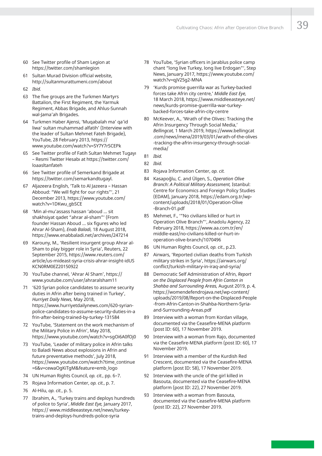- 60 See Twitter profile of Sham Legion at https://twitter.com/shamlegion
- 61 Sultan Murad Division official website, http://sultanmurattumeni.com/about
- 62 *Ibid.*
- 63 The five groups are the Turkmen Martyrs Battalion, the First Regiment, the Yarmuk Regiment, Abbas Brigade, and Ahlus-Sunnah wal-Jama'ah Brigades.
- 64 Turkmen Haber Ajensi, 'Muqabalah ma' qa'id liwa' sultan muhammad alfatih' (Interview with the leader of Sultan Mehmet Fateh Brigade), YouTube, 28 February 2013, https:// www.youtube.com/watch?v=SY7Y7rSCEPk
- 65 See Twitter profile of Fatih Sultan Mehmet Tugayı – Resmi Twitter Hesabı at https://twitter.com/ loaasltanfateh
- 66 See Twitter profile of Semerkand Brigade at https://twitter.com/semarkandtugayl.
- 67 Aljazeera English, 'Talk to Al Jazeera Hassan Abboud: "We will fight for our rights"', 21 December 2013, https://www.youtube.com/ watch?v=1DKwu\_gbSCE
- 68 'Min al-mu'assass hassan 'aboud … sit shakhsiyat qadet "ahrar al-sham"' (From founder Hassan Aboud … six figures who led Ahrar Al-Sham), *Enab Baladi,* 18 August 2018, https://www.enabbaladi.net/archives/247214
- 69 Karouny, M., 'Resilient insurgent group Ahrar al-Sham to play bigger role in Syria', Reuters, 22 September 2015, https://www.reuters.com/ article/us-mideast-syria-crisis-ahrar-insight-idUS KCN0RM0EZ20150922
- 70 YouTube channel, 'Ahrar Al Sham', https:// www.youtube.com/user/ahraralsham11
- 71 '620 Syrian police candidates to assume security duties in Afrin after being trained in Turkey', *Hurriyet Daily News,* May 2018, https://www.hurriyetdailynews.com/620-syrianpolice-candidates-to-assume-security-duties-in-a frin-after-being-trained-by-turkey-131584
- 72 YouTube, 'Statement on the work mechanism of the Military Police in Afrin', May 2018, https://www.youtube.com/watch?v=sgOi6A0fOj0
- 73 YouTube, 'Leader of military police in Afrin talks to Baladi News about explosions in Afrin and future preventative methods', July 2018, https://www.youtube.com/watch?time\_continue =6&v=cewaOgKiTgM&feature=emb\_logo
- 74 UN Human Rights Council, *op. cit.*, pp. 6–7.
- 75 Rojava Information Center, *op. cit.*, p. 7.
- 76 Al-Hilu, *op. cit.*, p. 5.
- 77 Ibrahim, A., 'Turkey trains and deploys hundreds of police to Syria', *Middle East Eye,* January 2017, https:// www.middleeasteye.net/news/turkeytrains-and-deploys-hundreds-police-syria
- 78 YouTube, 'Syrian officers in Jarablus police camp chant "long live Turkey, long live Erdogan"', Step News, January 2017, https://www.youtube.com/ watch?v=qjV25g2-MNA
- 79 'Kurds promise guerrilla war as Turkey-backed forces take Afrin city centre,' *Middle East Eye,* 18 March 2018, https://www.middleeasteye.net/ news/kurds-promise-guerrilla-war-turkeybacked-forces-take-afrin-city-centre
- 80 McKeever, A., 'Wrath of the Olives: Tracking the Afrin Insurgency Through Social Media,' *Bellingcat,* 1 March 2019, https://www.bellingcat .com/news/mena/2019/03/01/wrath-of-the-olives -tracking-the-afrin-insurgency-through-socialmedia/
- 81 *Ibid.*
- 82 *Ibid.*
- 83 Rojava Information Center, *op. cit.*
- 84 Kasapoğlu, C. and Ülgen, S., *Operation Olive Branch: A Political Military Assessment,* Istanbul: Centre for Economics and Foreign Policy Studies (EDAM), January 2018, https://edam.org.tr/wpcontent/uploads/2018/01/Operation-Olive -Branch-01.pdf
- 85 Mehmet, F., '"No civilians killed or hurt in Operation Olive Branch"', Anadolu Agency, 22 February 2018, https://www.aa.com.tr/en/ middle-east/no-civilians-killed-or-hurt-inoperation-olive-branch/1070496
- 86 UN Human Rights Council, *op. cit.*, p.23.
- 87 Airwars, 'Reported civilian deaths from Turkish military strikes in Syria', https://airwars.org/ conflict/turkish-military-in-iraq-and-syria/
- 88 Democratic Self Administration of Afrin, *Report on the Displaced People from Afrin Canton in Shahba and Surrounding Areas,* August 2019, p. 4, https://womendefendrojava.net/wp-content/ uploads/2019/08/Report-on-the-Displaced-People -from-Afrin-Canton-in-Shahba-Northern-Syriaand-Surrounding-Areas.pdf
- 89 Interview with a woman from Kordan village, documented via the Ceasefire-MENA platform (post ID: 60), 17 November 2019.
- 90 Interview with a woman from Rajo, documented via the Ceasefire-MENA platform (post ID: 60), 17 November 2019.
- 91 Interview with a member of the Kurdish Red Crescent, documented via the Ceasefire-MENA platform (post ID: 58), 17 November 2019.
- 92 Interview with the uncle of the girl killed in Basouta, documented via the Ceasefire-MENA platform (post ID: 22), 27 November 2019.
- 93 Interview with a woman from Basouta, documented via the Ceasefire-MENA platform (post ID: 22), 27 November 2019.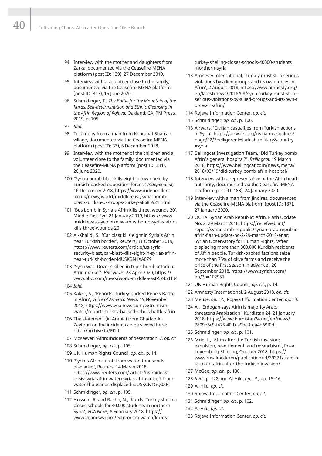- 94 Interview with the mother and daughters from Zarka, documented via the Ceasefire-MENA platform (post ID: 139), 27 December 2019.
- 95 Interview with a volunteer close to the family, documented via the Ceasefire-MENA platform (post ID: 317), 15 June 2020.
- 96 Schmidinger, T., *The Battle for the Mountain of the Kurds: Self-determination and Ethnic Cleansing in the Afrin Region of Rojava,* Oakland, CA, PM Press, 2019, p. 105.
- 97 *Ibid.*
- 98 Testimony from a man from Kharabat Sharran village, documented via the Ceasefire-MENA platform (post ID: 33), 5 December 2018.
- 99 Interview with the mother of the children and a volunteer close to the family, documented via the Ceasefire-MENA platform (post ID: 334), 26 June 2020.
- 100 'Syrian bomb blast kills eight in town held by Turkish-backed opposition forces,' *Independent,* 16 December 2018, https://www.independent .co.uk/news/world/middle-east/syria-bombblast-kurdish-us-troops-turkey-a8685921.html
- 101 'Bus bomb in Syria's Afrin kills three, wounds 20', Middle East Eye, 21 January 2019, https:// www .middleeasteye.net/news/bus-bomb-syrias-afrinkills-three-wounds-20
- 102 Al-Khalidi, S., 'Car blast kills eight in Syria's Afrin, near Turkish border', Reuters, 31 October 2019, https://www.reuters.com/article/us-syriasecurity-blast/car-blast-kills-eight-in-syrias-afrinnear-turkish-border-idUSKBN1XA0Z9
- 103 'Syria war: Dozens killed in truck bomb attack at Afrin market', *BBC News,* 28 April 2020, https:// www.bbc. com/news/world-middle-east-52454134
- 104 *Ibid.*
- 105 Kakko, S., 'Reports: Turkey-backed Rebels Battle in Afrin', *Voice of America News,* 19 November 2018, https://www.voanews.com/extremismwatch/reports-turkey-backed-rebels-battle-afrin
- 106 The statement (in Arabic) from Ghadab Al-Zaytoun on the incident can be viewed here: http://archive.fo/EI2JI
- 107 McKeever, 'Afrin: incidents of desecration…', *op. cit.*
- 108 Schmidinger, *op. cit.*, p. 105.
- 109 UN Human Rights Council, *op. cit.*, p. 14.
- 110 'Syria's Afrin cut off from water, thousands displaced', Reuters, 14 March 2018, https://www.reuters.com/ article/us-mideastcrisis-syria-afrin-water/syrias-afrin-cut-off-fromwater-thousands-displaced-idUSKCN1GQ0ZR
- 111 Schmidinger, *op. cit.*, p. 105.
- 112 Hussein, R. and Rasho, N., 'Kurds: Turkey shelling closes schools for 40,000 students in northern Syria', *VOA News,* 8 February 2018, https:// www.voanews.com/extremism-watch/kurds-

turkey-shelling-closes-schools-40000-students -northern-syria

- 113 Amnesty International, 'Turkey must stop serious violations by allied groups and its own forces in Afrin', 2 August 2018, https://www.amnesty.org/ en/latest/news/2018/08/syria-turkey-must-stopserious-violations-by-allied-groups-and-its-own-f orces-in-afrin/
- 114 Rojava Information Center, *op. cit.*
- 115 Schmidinger, *op. cit.*, p. 106.
- 116 Airwars, 'Civilian casualties from Turkish actions in Syria', https://airwars.org/civilian-casualties/ page/22/?belligerent=turkish-military&country =syria
- 117 Bellingcat Investigation Team, 'Did Turkey bomb Afrin's general hospital?', *Bellingcat,* 19 March 2018, https://www.bellingcat.com/news/mena/ 2018/03/19/did-turkey-bomb-afrin-hospital/
- 118 Interview with a representative of the Afrin heath authority, documented via the Ceasefire-MENA platform (post ID: 183), 24 January 2020.
- 119 Interview with a man from Jindires, documented via the Ceasefire-MENA platform (post ID: 187), 27 January 2020.
- 120 OCHA, Syrian Arab Republic: Afrin, Flash Update No. 2, 29 March 2018, https://reliefweb.int/ report/syrian-arab-republic/syrian-arab-republicafrin-flash-update-no-2-29-march-2018-enar; Syrian Observatory for Human Rights, 'After displacing more than 300,000 Kurdish residents of Afrin people, Turkish-backed factions seize more than 75% of olive farms and receive the price of the first season in advance', 20 September 2018, https://www.syriahr.com/ en/?p=102951
- 121 UN Human Rights Council, *op. cit.*, p. 14.
- 122 Amnesty International, 2 August 2018, *op. cit.*
- 123 Meuse, *op. cit.*; Rojava Information Center, *op. cit.*
- 124 A., 'Erdogan says Afrin is majority Arab, threatens Arabization', Kurdistan 24, 21 January 2018, https://www.kurdistan24.net/en/news/ 7899b6c9-f475-40fb-a9bc-ffda4b69f0df.
- 125 Schmidinger, *op. cit.*, p. 101.
- 126 Mrie, L., 'Afrin after the Turkish invasion: expulsion, resettlement, and revanchism', Rosa Luxemburg Stiftung, October 2018, https:// www.rosalux.de/en/publication/id/39371/transla te-to-en-afrin-after-the-turkish-invasion/
- 127 McGee, *op. cit.*, p. 130.
- 128 *Ibid.*, p. 128 and Al-Hilu, *op. cit.*, pp. 15–16.
- 129 Al-Hilu, *op. cit.*
- 130 Rojava Information Center, *op. cit.*
- 131 Schmidinger, *op. cit.*, p. 102.
- 132 Al-Hilu, *op. cit.*
- 133 Rojava Information Center, *op. cit.*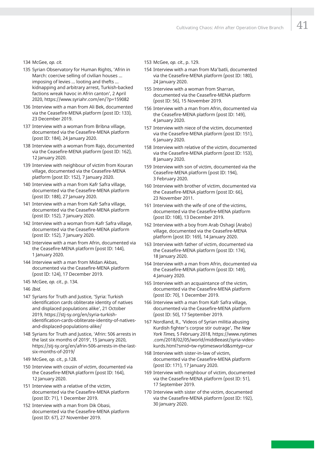- 134 McGee, *op. cit.*
- 135 Syrian Observatory for Human Rights, 'Afrin in March: coercive selling of civilian houses … imposing of levies … looting and thefts … kidnapping and arbitrary arrest, Turkish-backed factions wreak havoc in Afrin canton', 2 April 2020, https://www.syriahr.com/en/?p=159082
- 136 Interview with a man from Ali Bek, documented via the Ceasefire-MENA platform (post ID: 133), 23 December 2019.
- 137 Interview with a woman from Bribna village, documented via the Ceasefire-MENA platform (post ID: 184), 24 January 2020.
- 138 Interview with a woman from Rajo, documented via the Ceasefire-MENA platform (post ID: 162), 12 January 2020.
- 139 Interview with neighbour of victim from Kouran village, documented via the Ceasefire-MENA platform (post ID: 152), 7 January 2020.
- 140 Interview with a man from Kafr Safra village, documented via the Ceasefire-MENA platform (post ID: 188), 27 January 2020.
- 141 Interview with a man from Kafr Safra village, documented via the Ceasefire-MENA platform (post ID: 152), 7 January 2020.
- 142 Interview with a woman from Kafr Safra village, documented via the Ceasefire-MENA platform (post ID: 152), 7 January 2020.
- 143 Interview with a man from Afrin, documented via the Ceasefire-MENA platform (post ID: 144), 1 January 2020.
- 144 Interview with a man from Midan Akbas, documented via the Ceasefire-MENA platform (post ID: 124), 17 December 2019.
- 145 McGee, *op. cit.*, p. 134.
- 146 *Ibid.*
- 147 Syrians for Truth and Justice, 'Syria: Turkish identification cards obliterate identity of natives and displaced populations alike', 21 October 2019, https://stj-sy.org/en/syria-turkishidentification-cards-obliterate-identity-of-nativesand-displaced-populations-alike/
- 148 Syrians for Truth and Justice, 'Afrin: 506 arrests in the last six months of 2019', 15 January 2020, https://stj-sy.org/en/afrin-506-arrests-in-the-lastsix-months-of-2019/
- 149 McGee, *op. cit.*, p.128.
- 150 Interview with cousin of victim, documented via the Ceasefire-MENA platform (post ID: 164), 12 January 2020.
- 151 Interview with a relative of the victim, documented via the Ceasefire-MENA platform (post ID: 71), 1 December 2019.
- 152 Interview with a man from Dik Obasi, documented via the Ceasefire-MENA platform (post ID: 67), 27 November 2019.

153 McGee, *op. cit.*, p. 129.

- 154 Interview with a man from Ma'batli, documented via the Ceasefire-MENA platform (post ID: 180), 24 January 2020.
- 155 Interview with a woman from Sharran, documented via the Ceasefire-MENA platform (post ID: 56), 15 November 2019.
- 156 Interview with a man from Afrin, documented via the Ceasefire-MENA platform (post ID: 149), 4 January 2020.
- 157 Interview with niece of the victim, documented via the Ceasefire-MENA platform (post ID: 151), 6 January 2020.
- 158 Interview with relative of the victim, documented via the Ceasefire-MENA platform (post ID: 153), 8 January 2020.
- 159 Interview with son of victim, documented via the Ceasefire-MENA platform (post ID: 194), 3 February 2020.
- 160 Interview with brother of victim, documented via the Ceasefire-MENA platform (post ID: 66), 23 November 2011.
- 161 Interview with the wife of one of the victims, documented via the Ceasefire-MENA platform (post ID: 108), 13 December 2019.
- 162 Interview with a boy from Arab Oshagi (Arabo) village, documented via the Ceasefire-MENA platform (post ID: 169), 14 January 2020.
- 163 Interview with father of victim, documented via the Ceasefire-MENA platform (post ID: 174), 18 January 2020.
- 164 Interview with a man from Afrin, documented via the Ceasefire-MENA platform (post ID: 149), 4 January 2020.
- 165 Interview with an acquaintance of the victim, documented via the Ceasefire-MENA platform (post ID: 70), 1 December 2019.
- 166 Interview with a man from Kafr Safra village, documented via the Ceasefire-MENA platform (post ID: 50), 17 September 2019.
- 167 Nordland, R., 'Videos of Syrian militia abusing Kurdish fighter's corpse stir outrage', *The New York Times,* 5 February 2018, https://www.nytimes .com/2018/02/05/world/middleeast/syria-videokurds.html?smid=tw-nytimesworld&smtyp=cur
- 168 Interview with sister-in-law of victim, documented via the Ceasefire-MENA platform (post ID: 171), 17 January 2020.
- 169 Interview with neighbour of victim, documented via the Ceasefire-MENA platform (post ID: 51), 17 September 2019.
- 170 Interview with sister of the victim, documented via the Ceasefire-MENA platform (post ID: 192), 30 January 2020.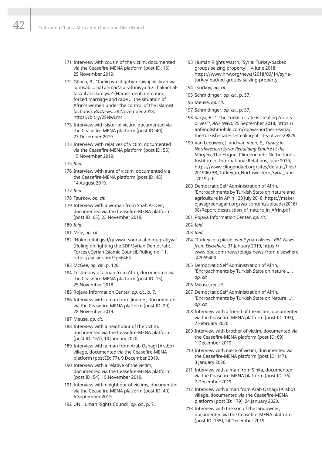- 171 Interview with cousin of the victim, documented via the Ceasefire-MENA platform (post ID: 16), 25 November 2019.
- 172 Gênco, B., 'Tadiiq wa 'itiqal wa zawaj bil ikrah wa ightisab … hal al-mar'a al-afriniyya fi zil hakam alfasa'il al-islamiyya' (Harassment, detention, forced marriage and rape … the situation of Afrin's women under the control of the Islamist factions), *BasNews,* 28 November 2018, https://bit.ly/2SNwLmc
- 173 Interview with sister of victim, documented via the Ceasefire-MENA platform (post ID: 40), 27 December 2019.
- 173 Interview with relatives of victim, documented via the Ceasefire-MENA platform (post ID: 55), 15 November 2019.
- 175 *Ibid.*
- 176 Interview with aunt of victim, documented via the Ceasefire-MENA platform (post ID: 45), 14 August 2019.
- 177 *Ibid.*
- 178 Tsurkov, *op. cit.*
- 179 Interview with a woman from Shah Al-Deir, documented via the Ceasefire-MENA platform (post ID: 65), 23 November 2019.
- 180 *Ibid.*
- 181 Mrie, *op. cit.*
- 182 'Hukm qital qisd/quwwat souria al-dimuqratiyya' (Ruling on fighting the SDF/Syrian Democratic Forces), Syrian Islamic Council, Ruling no. 11, https://sy-sic.com/?p=6465
- 183 McGee, *op. cit.*, p. 128.
- 184 Testimony of a man from Afrin, documented via the Ceasefire-MENA platform (post ID: 15), 25 November 2018.
- 185 Rojava Information Center, *op. cit.*, p. 7.
- 186 Interview with a man from lindires, documented via the Ceasefire-MENA platform (post ID: 29), 28 November 2019.
- 187 Meuse, *op. cit.*
- 188 Interview with a neighbour of the victim, documented via the Ceasefire-MENA platform (post ID: 161), 10 January 2020.
- 189 Interview with a man from Arab Oshagi (Arabo) village, documented via the Ceasefire-MENA platform (post ID: 77), 9 December 2019.
- 190 Interview with a relative of the victim, documented via the Ceasefire-MENA platform (post ID: 54), 15 November 2019.
- 191 Interview with neighbour of victims, documented via the Ceasefire-MENA platform (post ID: 49), 6 September 2019.
- 192 UN Human Rights Council, *op. cit.*, p. 7.
- 193 Human Rights Watch, 'Syria: Turkey-backed groups seizing property', 14 June 2018, https://www.hrw.org/news/2018/06/14/syriaturkey-backed-groups-seizing-property
- 194 Tsurkov, *op. cit.*
- 195 Schmidinger, *op. cit.*, p. 57.
- 196 Meuse, *op. cit.*
- 197 Schmidinger, *op. cit.*, p. 57.
- 198 Sarya, B., '"The Turkish state is stealing Afrin's olives"', *ANF News,* 25 September 2018, https:// anfenglishmobile.com/rojava-northern-syria/ the-turkish-state-is-stealing-afrin-s-olives-29829
- 199 Van Leeuwen, J. and van Veen, E., *Turkey in Northwestern Syria: Rebuilding Empire at the Margins,* The Hague: Clingendael – Netherlands Institute of International Relations, June 2019, https://www.clingendael.org/sites/default/files/ 201906/PB\_Turkey\_in\_Northwestern\_Syria\_June \_2019.pdf
- 200 Democratic Self Administration of Afrin, 'Encroachments by Turkish State on nature and agriculture in Afrin', 20 July 2018, https://maker ojavagreenagain.org/wp-content/uploads/2018/ 08/Report\_destruction\_of\_nature\_in\_Afrin.pdf
- 201 Rojava Information Center, *op. cit.*
- 202 *Ibid.*
- 203 *Ibid.*
- 204 'Turkey in a pickle over Syrian olives', *BBC News from Elsewhere,* 31 January 2019, https:// www.bbc.com/news/blogs-news-from-elsewhere -47069403
- 205 Democratic Self Administration of Afrin, 'Encroachments by Turkish State on nature …', *op. cit.*
- 206 Meuse, *op. cit.*
- 207 Democratic Self Administration of Afrin, 'Encroachments by Turkish State on Nature …', *op. cit.*
- 208 Interview with a friend of the victim, documented via the Ceasefire-MENA platform (post ID: 193), 2 February 2020.
- 209 Interview with brother of victim, documented via the Ceasefire-MENA platform (post ID: 69), 1 December 2019.
- 210 Interview with niece of victim, documented via the Ceasefire-MENA platform (post ID: 147), 3 January 2020.
- 211 Interview with a man from Sinka, documented via the Ceasefire-MENA platform (post ID: 76), 7 December 2019.
- 212 Interview with a man from Arab Oshagi (Arabo) village, documented via the Ceasefire-MENA platform (post ID: 179), 24 January 2020.
- 213 Interview with the son of the landowner, documented via the Ceasefire-MENA platform (post ID: 135), 24 December 2019.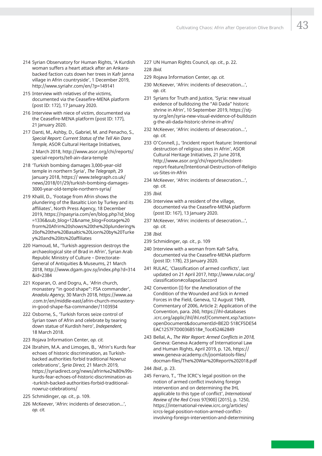- 214 Syrian Observatory for Human Rights, 'A Kurdish woman suffers a heart attack after an Ankarabacked faction cuts down her trees in Kafr Janna village in Afrin countryside', 1 December 2019, http://www.syriahr.com/en/?p=149141
- 215 Interview with relatives of the victims, documented via the Ceasefire-MENA platform (post ID: 172), 17 January 2020.
- 216 Interview with niece of victim, documented via the Ceasefire-MENA platform (post ID: 177), 21 January 2020.
- 217 Danti, M., Ashby, D., Gabriel, M. and Penacho, S., *Special Report: Current Status of the Tell Ain Dara Temple,* ASOR Cultural Heritage Initiatives, 2 March 2018, http://www.asor.org/chi/reports/ special-reports/tell-ain-dara-temple
- 218 'Turkish bombing damages 3,000-year-old temple in northern Syria', *The Telegraph,* 29 January 2018, https:// www.telegraph.co.uk/ news/2018/01/29/turkish-bombing-damages-3000-year-old-temple-northern-syria/
- 219 Khalil, D., 'Footage from Afrin shows the plundering of the Basaltic Lion by Turkey and its affiliates', North Press Agency, 18 December 2019, https://npasyria.com/en/blog.php?id\_blog =1336&sub\_blog=12&name\_blog=Footage%20 from%20Afrin%20shows%20the%20plundering% 20of%20the%20Basaltic%20Lion%20by%20Turke y%20and%20its%20affiliates
- 220 Hamoud, M., 'Turkish aggression destroys the archaeological site of Brad in Afrin', Syrian Arab Republic Ministry of Culture – Directorate-General of Antiquities & Museums, 21 March 2018, http://www.dgam.gov.sy/index.php?d=314 &id=2384
- 221 Koparan, O. and Dogru, A., 'Afrin church, monastery "in good shape": FSA commander', *Anadolu Agency,* 30 March 2018, https://www.aa .com.tr/en/middle-east/afrin-church-monasteryin-good-shape-fsa-commander/1103934
- 222 Osborne, S., 'Turkish forces seize control of Syrian town of Afrin and celebrate by tearing down statue of Kurdish hero', *Independent,* 18 March 2018.
- 223 Rojava Information Center, *op. cit.*
- 224 Ibrahim, M.A. and Limoges, B., 'Afrin's Kurds fear echoes of historic discrimination, as Turkishbacked authorities forbid traditional Nowruz celebrations', *Syria Direct,* 21 March 2019, https://syriadirect.org/news/afrin%e2%80%99skurds-fear-echoes-of-historic-discrimination-as -turkish-backed-authorities-forbid-traditionalnowruz-celebrations/
- 225 Schmidinger, *op. cit.*, p. 109.
- 226 McKeever, 'Afrin: incidents of desecration…', *op. cit.*
- 227 UN Human Rights Council, *op. cit.*, p. 22.
- 228 *Ibid.*
- 229 Rojava Information Center, *op. cit.*
- 230 McKeever, 'Afrin: incidents of desecration…', *op. cit.*
- 231 Syrians for Truth and Justice, 'Syria: new visual evidence of bulldozing the "Ali Dada" historic shrine in Afrin', 10 September 2019, https://stjsy.org/en/syria-new-visual-evidence-of-bulldozin g-the-ali-dada-historic-shrine-in-afrin/
- 232 McKeever, 'Afrin: incidents of desecration…', *op. cit.*
- 233 O'Connell, J., 'Incident report feature: Intentional destruction of religious sites in Afrin', ASOR Cultural Heritage Initiatives, 21 June 2018, http://www.asor.org/chi/reports/incidentreport-feature/Intentional-Destruction-of-Religio us-Sites-in-Afrin
- 234 McKeever, 'Afrin: incidents of desecration…', *op. cit.*
- 235 *Ibid.*
- 236 Interview with a resident of the village, documented via the Ceasefire-MENA platform (post ID: 167), 13 January 2020.
- 237 McKeever, 'Afrin: incidents of desecration…', *op. cit.*
- 238 *Ibid.*
- 239 Schmidinger, *op. cit.*, p. 109
- 240 Interview with a woman from Kafr Safra, documented via the Ceasefire-MENA platform (post ID: 178), 23 January 2020.
- 241 RULAC, 'Classification of armed conflicts', last updated on 21 April 2017, http://www.rulac.org/ classification#collapse3accord
- 242 Convention (I) for the Amelioration of the Condition of the Wounded and Sick in Armed Forces in the Field, Geneva, 12 August 1949, Commentary of 2006, Article 2: Application of the Convention, para. 260, https://ihl-databases .icrc.org/applic/ihl/ihl.nsf/Comment.xsp?action= openDocument&documentId=BE2D 518CF5DE54 EAC1257F7D0036B518#\_Toc452462849
- 243 Bellal, A., *The War Report: Armed Conflicts in 2018,* Geneva: Geneva Academy of International Law and Human Rights, April 2019, p. 126, https:// www.geneva-academy.ch/joomlatools-files/ docman-files/The%20War%20Report%202018.pdf
- 244 *Ibid.*, p. 23.
- 245 Ferraro, T., 'The ICRC's legal position on the notion of armed conflict involving foreign intervention and on determining the IHL applicable to this type of conflict', *International Review of the Red Cross* 97(900) (2015), p. 1250, https://international-review.icrc.org/articles/ icrcs-legal-position-notion-armed-conflictinvolving-foreign-intervention-and-determining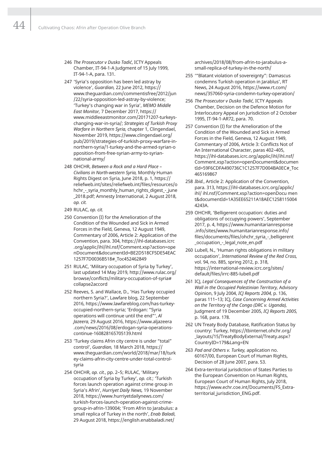- 246 *The Prosecutor v Dusko Tadić*, ICTY Appeals Chamber, IT-94-1-A Judgment of 15 July 1999, IT-94-1-A, para. 131.
- 247 'Syria's opposition has been led astray by violence', *Guardian,* 22 June 2012, https:// www.theguardian.com/commentisfree/2012/jun /22/syria-opposition-led-astray-by-violence; 'Turkey's changing war in Syria', *MEMO Middle East Monitor,* 7 December 2017, https:// www.middleeastmonitor.com/20171207-turkeyschanging-war-in-syria/; *Strategies of Turkish Proxy Warfare in Northern Syria,* chapter 1, Clingendael, November 2019, https://www.clingendael.org/ pub/2019/strategies-of-turkish-proxy-warfare-innorthern-syria/1-turkey-and-the-armed-syrian-o pposition-from-free-syrian-army-to-syriannational-army/
- 248 OHCHR, *Between a Rock and a Hard Place – Civilians in North-western Syria,* Monthly Human Rights Digest on Syria, June 2018, p. 1, https:// reliefweb.int/sites/reliefweb.int/files/resources/o hchr\_-\_syria\_monthly\_human\_rights\_digest\_-\_june \_2018.pdf; Amnesty International, 2 August 2018, *op. cit.*
- 249 RULAC, *op. cit.*
- 250 Convention (I) for the Amelioration of the Condition of the Wounded and Sick in Armed Forces in the Field, Geneva, 12 August 1949, Commentary of 2006, Article 2: Application of the Convention, para. 304, https://ihl-databases.icrc .org/applic/ihl/ihl.nsf/Comment.xsp?action=ope nDocument&documentId=BE2D518CF5DE54EAC 1257F7D0036B518#\_Toc452462849
- 251 RULAC, 'Military occupation of Syria by Turkey', last updated 14 May 2019, http://www.rulac.org/ browse/conflicts/military-occupation-of-syria# collapse2accord
- 252 Reeves, S. and Wallace, D., 'Has Turkey occupied northern Syria?', Lawfare blog, 22 September 2016, https://www.lawfareblog.com/has-turkeyoccupied-northern-syria; 'Erdogan: "Syria operations will continue until the end"', *Al Jazeera,* 29 August 2016, https://www.aljazeera .com/news/2016/08/erdogan-syria-operationscontinue-160828165705139.html
- 253 'Turkey claims Afrin city centre is under "total" control', *Guardian,* 18 March 2018, https:// www.theguardian.com/world/2018/mar/18/turk ey-claims-afrin-city-centre-under-total-controlsyria
- 254 OHCHR, *op. cit.*, pp. 2–5; RULAC, 'Military occupation of Syria by Turkey', *op. cit.*; 'Turkish forces launch operation against crime group in Syria's Afrin', *Hurriyet Daily News,* 19 November 2018, https://www.hurriyetdailynews.com/ turkish-forces-launch-operation-against-crimegroup-in-afrin-139004; 'From Afrin to Jarabulus: a small replica of Turkey in the north', *Enab Baladi,* 29 August 2018, https://english.enabbaladi.net/

archives/2018/08/from-afrin-to-jarabulus-asmall-replica-of-turkey-in-the-north/

- 255 '"Blatant violation of sovereignty": Damascus condemns Turkish operation in Jarablus', RT News, 24 August 2016, https://www.rt.com/ news/357060-syria-condemn-turkey-operation/
- 256 *The Prosecutor v Dusko Tadić,* ICTY Appeals Chamber, Decision on the Defence Motion for Interlocutory Appeal on Jurisdiction of 2 October 1995, IT-94-1-AR72, para. 70.
- 257 Convention (I) for the Amelioration of the Condition of the Wounded and Sick in Armed Forces in the Field, Geneva, 12 August 1949, Commentary of 2006, Article 3: Conflicts Not of An International Character, paras 402–405, https://ihl-databases.icrc.org/applic/ihl/ihl.nsf/ Comment.xsp?action=openDocument&documen tId=59F6CDFA490736C1C1257F7D004BA0EC#\_Toc 465169867
- 258 *Ibid.*, Article 2: Application of the Convention, para. 313, https://ihl-databases.icrc.org/applic/ ihl/ ihl.nsf/Comment.xsp?action=openDocu men t&documentId=1A35EE65211A18AEC1258115004 4243A.
- 259 OHCHR, 'Belligerent occupation: duties and obligations of occupying powers', September 2017, p. 4, https://www.humanitarianresponse .info/sites/www.humanitarianresponse.info/ files/documents/files/ohchr\_syria\_-\_belligerent \_occupation\_-\_legal\_note\_en.pdf
- 260 Lubell, N., 'Human rights obligations in military occupation', *International Review of the Red Cross,* vol. 94, no. 885, spring 2012, p. 318, https://international-review.icrc.org/sites/ default/files/irrc-885-lubell.pdf
- 261 ICJ, *Legal Consequences of the Construction of a Wall in the Occupied Palestinian Territory,* Advisory Opinion, 9 July 2004, *ICJ Reports 2004,* p. 136, paras 111–13; ICJ, *Case Concerning Armed Activities on the Territory of the Congo (DRC v. Uganda),* Judgment of 19 December 2005, *ICJ Reports 2005,* p. 168, para. 178.
- 262 UN Treaty Body Database, Ratification Status by country: Turkey, https://tbinternet.ohchr.org/ \_layouts/15/TreatyBodyExternal/Treaty.aspx? CountryID=179&Lang=EN
- 263 *Pad and Others v. Turkey,* application no. 60167/00, European Court of Human Rights, Decision of 28 June 2007, para. 53.
- 264 Extra-territorial jurisdiction of States Parties to the European Convention on Human Rights, European Court of Human Rights, July 2018, https://www.echr.coe.int/Documents/FS\_Extraterritorial\_jurisdiction\_ENG.pdf.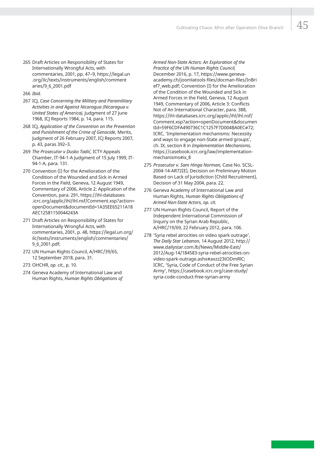- 265 Draft Articles on Responsibility of States for Internationally Wrongful Acts, with commentaries, 2001, pp. 47–9, https://legal.un .org/ilc/texts/instruments/english/comment aries/9\_6\_2001.pdf
- 266 *Ibid.*
- 267 ICJ, *Case Concerning the Military and Paramilitary Activities in and Against Nicaragua (Nicaragua v. United States of America),* Judgment of 27 June 1968, ICJ Reports 1984, p. 14, para. 115.
- 268 ICJ, *Application of the Convention on the Prevention and Punishment of the Crime of Genocide,* Merits, Judgment of 26 February 2007, ICJ Reports 2007, p. 43, paras 392–3.
- 269 *The Prosecutor v Dusko Tadić,* ICTY Appeals Chamber, IT-94-1-A Judgment of 15 July 1999, IT-94-1-A, para. 131.
- 270 Convention (I) for the Amelioration of the Condition of the Wounded and Sick in Armed Forces in the Field, Geneva, 12 August 1949, Commentary of 2006, Article 2: Application of the Convention, para. 291, https://ihl-databases .icrc.org/applic/ihl/ihl.nsf/Comment.xsp?action= openDocument&documentId=1A35EE65211A18 AEC12581150044243A
- 271 Draft Articles on Responsibility of States for Internationally Wrongful Acts, with commentaries, 2001, p. 48, https://legal.un.org/ ilc/texts/instruments/english/commentaries/ 9\_6\_2001.pdf;
- 272 UN Human Rights Council, A/HRC/39/65, 12 September 2018, para. 31.
- 273 OHCHR, *op. cit.*, p. 10.
- 274 Geneva Academy of International Law and Human Rights, *Human Rights Obligations of*

*Armed Non-State Actors: An Exploration of the Practice of the UN Human Rights Council,* December 2016, p. 17, https://www.genevaacademy.ch/joomlatools-files/docman-files/InBri ef7\_web.pdf; Convention (I) for the Amelioration of the Condition of the Wounded and Sick in Armed Forces in the Field, Geneva, 12 August 1949, Commentary of 2006, Article 3: Conflicts Not of An International Character, para. 388, https://ihl-databases.icrc.org/applic/ihl/ihl.nsf/ Comment.xsp?action=openDocument&documen tId=59F6CDFA490736C1C1257F7D004BA0EC#72; ICRC, 'Implementation mechanisms: Necessity and ways to engage non-State armed groups', ch. IX, section 8 in *Implementation Mechanisms,* https://casebook.icrc.org/law/implementationmechanisms#ix\_8

- 275 *Prosecutor v. Sam Hinga Norman,* Case No. SCSL-2004-14-AR72(E), Decision on Preliminary Motion Based on Lack of Jurisdiction (Child Recruitment), Decision of 31 May 2004, para. 22.
- 276 Geneva Academy of International Law and Human Rights, *Human Rights Obligations of Armed Non-State Actors, op. cit.*
- 277 UN Human Rights Council, Report of the Independent International Commission of Inquiry on the Syrian Arab Republic, A/HRC/19/69, 22 February 2012, para. 106.
- 278 'Syria rebel atrocities on video spark outrage', *The Daily Star Lebanon,* 14 August 2012, http:// www.dailystar.com.lb/News/Middle-East/ 2012/Aug-14/184583-syria-rebel-atrocities-onvideo-spark-outrage.ashx#axzz23tODmRlC; ICRC, 'Syria, Code of Conduct of the Free Syrian Army', https://casebook.icrc.org/case-study/ syria-code-conduct-free-syrian-army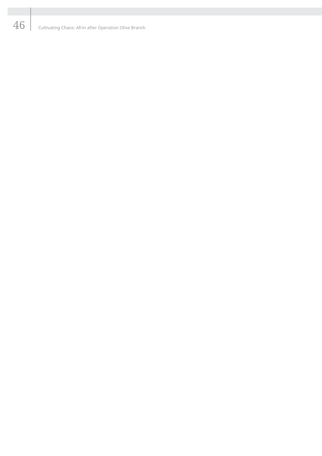## $\vert 46\vert$  Cultivating Chaos: Afrin after Operation Olive Branch